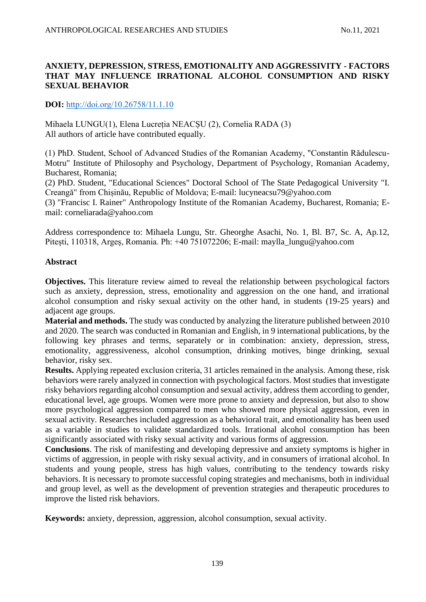## **ANXIETY, DEPRESSION, STRESS, EMOTIONALITY AND AGGRESSIVITY - FACTORS THAT MAY INFLUENCE IRRATIONAL ALCOHOL CONSUMPTION AND RISKY SEXUAL BEHAVIOR**

**DOI:** [http://doi.org/10.26758/11.1.10](https://www.journalstudiesanthropology.ro/en/anxiety-depression-stress-emotionality-and-aggressivity-factors-that-may-influence-irrational-alcohol-consumption-and-risky-sexual-behavior/a168/)

Mihaela LUNGU(1), Elena Lucreția NEACȘU (2), Cornelia RADA (3) All authors of article have contributed equally.

(1) PhD. Student, School of Advanced Studies of the Romanian Academy, "Constantin Rădulescu-Motru" Institute of Philosophy and Psychology, Department of Psychology, Romanian Academy, Bucharest, Romania;

(2) PhD. Student, "Educational Sciences" Doctoral School of The State Pedagogical University "I. Creangă" from Chișinău, Republic of Moldova; E-mail: [lucyneacsu79@yahoo.com](mailto:lucyneacsu79@yahoo.com)

(3) "Francisc I. Rainer" Anthropology Institute of the Romanian Academy, Bucharest, Romania; Email: [corneliarada@yahoo.com](mailto:corneliarada@yahoo.com)

Address correspondence to: Mihaela Lungu, Str. Gheorghe Asachi, No. 1, Bl. B7, Sc. A, Ap.12, Pitești, 110318, Argeș, Romania. Ph: +40 751072206; E-mail: [maylla\\_lungu@yahoo.com](mailto:maylla_lungu@yahoo.com)

## **Abstract**

**Objectives.** This literature review aimed to reveal the relationship between psychological factors such as anxiety, depression, stress, emotionality and aggression on the one hand, and irrational alcohol consumption and risky sexual activity on the other hand, in students (19-25 years) and adjacent age groups.

**Material and methods.** The study was conducted by analyzing the literature published between 2010 and 2020. The search was conducted in Romanian and English, in 9 international publications, by the following key phrases and terms, separately or in combination: anxiety, depression, stress, emotionality, aggressiveness, alcohol consumption, drinking motives, binge drinking, sexual behavior, risky sex.

**Results.** Applying repeated exclusion criteria, 31 articles remained in the analysis. Among these, risk behaviors were rarely analyzed in connection with psychological factors. Most studies that investigate risky behaviors regarding alcohol consumption and sexual activity, address them according to gender, educational level, age groups. Women were more prone to anxiety and depression, but also to show more psychological aggression compared to men who showed more physical aggression, even in sexual activity. Researches included aggression as a behavioral trait, and emotionality has been used as a variable in studies to validate standardized tools. Irrational alcohol consumption has been significantly associated with risky sexual activity and various forms of aggression.

**Conclusions**. The risk of manifesting and developing depressive and anxiety symptoms is higher in victims of aggression, in people with risky sexual activity, and in consumers of irrational alcohol. In students and young people, stress has high values, contributing to the tendency towards risky behaviors. It is necessary to promote successful coping strategies and mechanisms, both in individual and group level, as well as the development of prevention strategies and therapeutic procedures to improve the listed risk behaviors.

**Keywords:** anxiety, depression, aggression, alcohol consumption, sexual activity.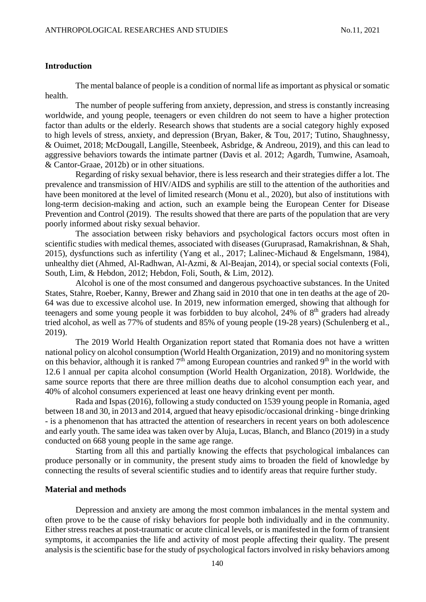#### **Introduction**

The mental balance of people is a condition of normal life as important as physical or somatic health.

The number of people suffering from anxiety, depression, and stress is constantly increasing worldwide, and young people, teenagers or even children do not seem to have a higher protection factor than adults or the elderly. Research shows that students are a social category highly exposed to high levels of stress, anxiety, and depression (Bryan, Baker, & Tou, 2017; Tutino, Shaughnessy, & Ouimet, 2018; McDougall, Langille, Steenbeek, Asbridge, & Andreou, 2019), and this can lead to aggressive behaviors towards the intimate partner (Davis et al. 2012; Agardh, Tumwine, Asamoah, & Cantor-Graae, 2012b) or in other situations.

Regarding of risky sexual behavior, there is less research and their strategies differ a lot. The prevalence and transmission of HIV/AIDS and syphilis are still to the attention of the authorities and have been monitored at the level of limited research (Monu et al., 2020), but also of institutions with long-term decision-making and action, such an example being the European Center for Disease Prevention and Control (2019). The results showed that there are parts of the population that are very poorly informed about risky sexual behavior.

The association between risky behaviors and psychological factors occurs most often in scientific studies with medical themes, associated with diseases (Guruprasad, Ramakrishnan, & Shah, 2015), dysfunctions such as infertility (Yang et al., 2017; Lalinec-Michaud & Engelsmann, 1984), unhealthy diet (Ahmed, Al-Radhwan, Al-Azmi, & Al-Beajan, 2014), or special social contexts (Foli, South, Lim, & Hebdon, 2012; Hebdon, Foli, South, & Lim, 2012).

Alcohol is one of the most consumed and dangerous psychoactive substances. In the United States, Stahre, Roeber, Kanny, Brewer and Zhang said in 2010 that one in ten deaths at the age of 20- 64 was due to excessive alcohol use. In 2019, new information emerged, showing that although for teenagers and some young people it was forbidden to buy alcohol, 24% of  $8<sup>th</sup>$  graders had already tried alcohol, as well as 77% of students and 85% of young people (19-28 years) (Schulenberg et al., 2019).

The 2019 World Health Organization report stated that Romania does not have a written national policy on alcohol consumption (World Health Organization, 2019) and no monitoring system on this behavior, although it is ranked  $7<sup>th</sup>$  among European countries and ranked  $9<sup>th</sup>$  in the world with 12.6 l annual per capita alcohol consumption (World Health Organization, 2018). Worldwide, the same source reports that there are three million deaths due to alcohol consumption each year, and 40% of alcohol consumers experienced at least one heavy drinking event per month.

Rada and Ispas (2016), following a study conducted on 1539 young people in Romania, aged between 18 and 30, in 2013 and 2014, argued that heavy episodic/occasional drinking - binge drinking - is a phenomenon that has attracted the attention of researchers in recent years on both adolescence and early youth. The same idea was taken over by Aluja, Lucas, Blanch, and Blanco (2019) in a study conducted on 668 young people in the same age range.

Starting from all this and partially knowing the effects that psychological imbalances can produce personally or in community, the present study aims to broaden the field of knowledge by connecting the results of several scientific studies and to identify areas that require further study.

#### **Material and methods**

Depression and anxiety are among the most common imbalances in the mental system and often prove to be the cause of risky behaviors for people both individually and in the community. Either stress reaches at post-traumatic or acute clinical levels, or is manifested in the form of transient symptoms, it accompanies the life and activity of most people affecting their quality. The present analysis is the scientific base for the study of psychological factors involved in risky behaviors among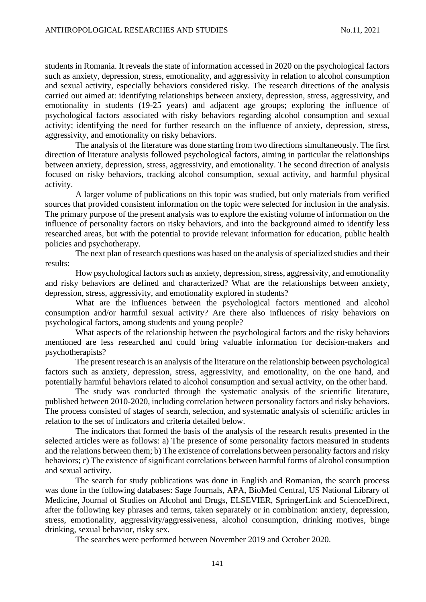students in Romania. It reveals the state of information accessed in 2020 on the psychological factors such as anxiety, depression, stress, emotionality, and aggressivity in relation to alcohol consumption and sexual activity, especially behaviors considered risky. The research directions of the analysis carried out aimed at: identifying relationships between anxiety, depression, stress, aggressivity, and emotionality in students (19-25 years) and adjacent age groups; exploring the influence of psychological factors associated with risky behaviors regarding alcohol consumption and sexual activity; identifying the need for further research on the influence of anxiety, depression, stress, aggressivity, and emotionality on risky behaviors.

The analysis of the literature was done starting from two directions simultaneously. The first direction of literature analysis followed psychological factors, aiming in particular the relationships between anxiety, depression, stress, aggressivity, and emotionality. The second direction of analysis focused on risky behaviors, tracking alcohol consumption, sexual activity, and harmful physical activity.

A larger volume of publications on this topic was studied, but only materials from verified sources that provided consistent information on the topic were selected for inclusion in the analysis. The primary purpose of the present analysis was to explore the existing volume of information on the influence of personality factors on risky behaviors, and into the background aimed to identify less researched areas, but with the potential to provide relevant information for education, public health policies and psychotherapy.

The next plan of research questions was based on the analysis of specialized studies and their results:

How psychological factors such as anxiety, depression, stress, aggressivity, and emotionality and risky behaviors are defined and characterized? What are the relationships between anxiety, depression, stress, aggressivity, and emotionality explored in students?

What are the influences between the psychological factors mentioned and alcohol consumption and/or harmful sexual activity? Are there also influences of risky behaviors on psychological factors, among students and young people?

What aspects of the relationship between the psychological factors and the risky behaviors mentioned are less researched and could bring valuable information for decision-makers and psychotherapists?

The present research is an analysis of the literature on the relationship between psychological factors such as anxiety, depression, stress, aggressivity, and emotionality, on the one hand, and potentially harmful behaviors related to alcohol consumption and sexual activity, on the other hand.

The study was conducted through the systematic analysis of the scientific literature, published between 2010-2020, including correlation between personality factors and risky behaviors. The process consisted of stages of search, selection, and systematic analysis of scientific articles in relation to the set of indicators and criteria detailed below.

The indicators that formed the basis of the analysis of the research results presented in the selected articles were as follows: a) The presence of some personality factors measured in students and the relations between them; b) The existence of correlations between personality factors and risky behaviors; c) The existence of significant correlations between harmful forms of alcohol consumption and sexual activity.

The search for study publications was done in English and Romanian, the search process was done in the following databases: Sage Journals, APA, BioMed Central, US National Library of Medicine, Journal of Studies on Alcohol and Drugs, ELSEVIER, SpringerLink and ScienceDirect, after the following key phrases and terms, taken separately or in combination: anxiety, depression, stress, emotionality, aggressivity/aggressiveness, alcohol consumption, drinking motives, binge drinking, sexual behavior, risky sex.

The searches were performed between November 2019 and October 2020.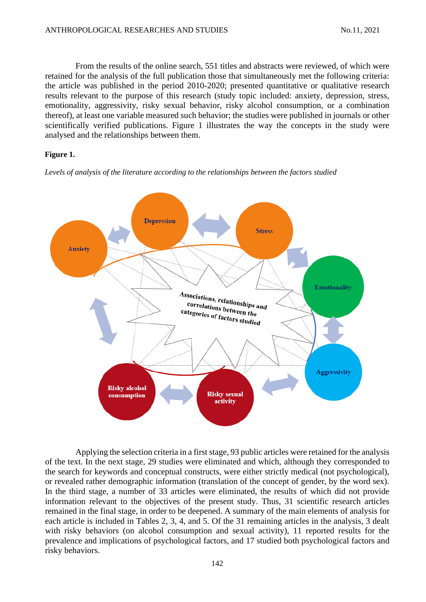From the results of the online search, 551 titles and abstracts were reviewed, of which were retained for the analysis of the full publication those that simultaneously met the following criteria: the article was published in the period 2010-2020; presented quantitative or qualitative research results relevant to the purpose of this research (study topic included: anxiety, depression, stress, emotionality, aggressivity, risky sexual behavior, risky alcohol consumption, or a combination thereof), at least one variable measured such behavior; the studies were published in journals or other scientifically verified publications. Figure 1 illustrates the way the concepts in the study were analysed and the relationships between them.

#### **Figure 1.**

*Levels of analysis of the literature according to the relationships between the factors studied*



Applying the selection criteria in a first stage, 93 public articles were retained for the analysis of the text. In the next stage, 29 studies were eliminated and which, although they corresponded to the search for keywords and conceptual constructs, were either strictly medical (not psychological), or revealed rather demographic information (translation of the concept of gender, by the word sex). In the third stage, a number of 33 articles were eliminated, the results of which did not provide information relevant to the objectives of the present study. Thus, 31 scientific research articles remained in the final stage, in order to be deepened. A summary of the main elements of analysis for each article is included in Tables 2, 3, 4, and 5. Of the 31 remaining articles in the analysis, 3 dealt with risky behaviors (on alcohol consumption and sexual activity), 11 reported results for the prevalence and implications of psychological factors, and 17 studied both psychological factors and risky behaviors.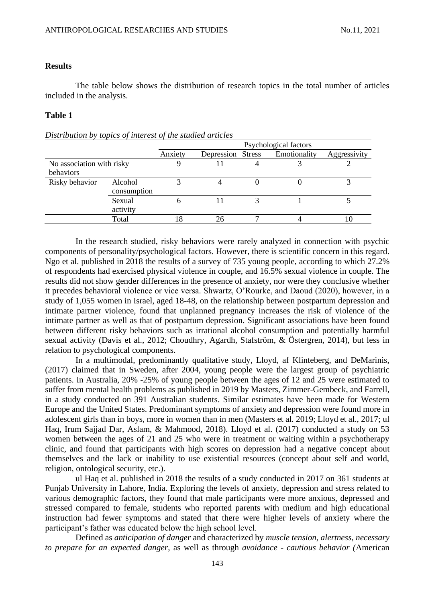#### **Results**

The table below shows the distribution of research topics in the total number of articles included in the analysis.

### **Table 1**

#### *Distribution by topics of interest of the studied articles*

|                           |             | Psychological factors |                   |  |              |              |
|---------------------------|-------------|-----------------------|-------------------|--|--------------|--------------|
|                           |             | Anxiety               | Depression Stress |  | Emotionality | Aggressivity |
| No association with risky |             |                       |                   |  |              |              |
| behaviors                 |             |                       |                   |  |              |              |
| Risky behavior            | Alcohol     |                       |                   |  |              |              |
|                           | consumption |                       |                   |  |              |              |
|                           | Sexual      | n                     |                   |  |              |              |
|                           | activity    |                       |                   |  |              |              |
|                           | Total       |                       | 26                |  |              |              |

In the research studied, risky behaviors were rarely analyzed in connection with psychic components of personality/psychological factors. However, there is scientific concern in this regard. Ngo et al. published in 2018 the results of a survey of 735 young people, according to which 27.2% of respondents had exercised physical violence in couple, and 16.5% sexual violence in couple. The results did not show gender differences in the presence of anxiety, nor were they conclusive whether it precedes behavioral violence or vice versa. Shwartz, O'Rourke, and Daoud (2020), however, in a study of 1,055 women in Israel, aged 18-48, on the relationship between postpartum depression and intimate partner violence, found that unplanned pregnancy increases the risk of violence of the intimate partner as well as that of postpartum depression. Significant associations have been found between different risky behaviors such as irrational alcohol consumption and potentially harmful sexual activity (Davis et al., 2012; Choudhry, Agardh, Stafström, & Östergren, 2014), but less in relation to psychological components.

In a multimodal, predominantly qualitative study, Lloyd, af Klinteberg, and DeMarinis, (2017) claimed that in Sweden, after 2004, young people were the largest group of psychiatric patients. In Australia, 20% -25% of young people between the ages of 12 and 25 were estimated to suffer from mental health problems as published in 2019 by Masters, Zimmer-Gembeck, and Farrell, in a study conducted on 391 Australian students. Similar estimates have been made for Western Europe and the United States. Predominant symptoms of anxiety and depression were found more in adolescent girls than in boys, more in women than in men (Masters et al. 2019; Lloyd et al., 2017; ul Haq, Irum Sajjad Dar, Aslam, & Mahmood, 2018). Lloyd et al. (2017) conducted a study on 53 women between the ages of 21 and 25 who were in treatment or waiting within a psychotherapy clinic, and found that participants with high scores on depression had a negative concept about themselves and the lack or inability to use existential resources (concept about self and world, religion, ontological security, etc.).

ul Haq et al. published in 2018 the results of a study conducted in 2017 on 361 students at Punjab University in Lahore, India. Exploring the levels of anxiety, depression and stress related to various demographic factors, they found that male participants were more anxious, depressed and stressed compared to female, students who reported parents with medium and high educational instruction had fewer symptoms and stated that there were higher levels of anxiety where the participant's father was educated below the high school level.

Defined as *anticipation of danger* and characterized by *muscle tension, alertness, necessary to prepare for an expected danger*, as well as through *avoidance - cautious behavior (*American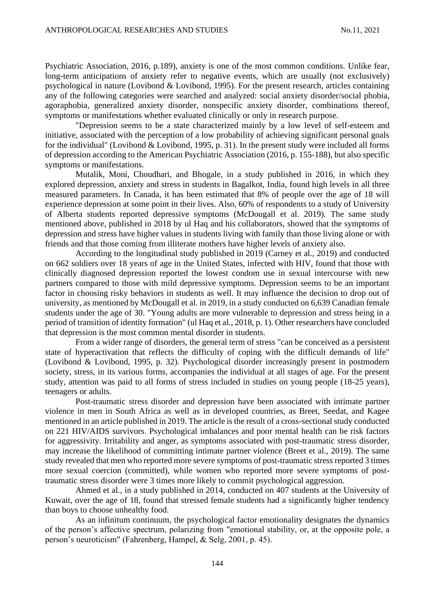Psychiatric Association, 2016, p.189), anxiety is one of the most common conditions. Unlike fear, long-term anticipations of anxiety refer to negative events, which are usually (not exclusively) psychological in nature (Lovibond & Lovibond, 1995). For the present research, articles containing any of the following categories were searched and analyzed: social anxiety disorder/social phobia, agoraphobia, generalized anxiety disorder, nonspecific anxiety disorder, combinations thereof, symptoms or manifestations whether evaluated clinically or only in research purpose.

"Depression seems to be a state characterized mainly by a low level of self-esteem and initiative, associated with the perception of a low probability of achieving significant personal goals for the individual" (Lovibond & Lovibond, 1995, p. 31). In the present study were included all forms of depression according to the American Psychiatric Association (2016, p. 155-188), but also specific symptoms or manifestations.

Mutalik, Moni, Choudhari, and Bhogale, in a study published in 2016, in which they explored depression, anxiety and stress in students in Bagalkot, India, found high levels in all three measured parameters. In Canada, it has been estimated that 8% of people over the age of 18 will experience depression at some point in their lives. Also, 60% of respondents to a study of University of Alberta students reported depressive symptoms (McDougall et al. 2019). The same study mentioned above, published in 2018 by ul Haq and his collaborators, showed that the symptoms of depression and stress have higher values in students living with family than those living alone or with friends and that those coming from illiterate mothers have higher levels of anxiety also.

According to the longitudinal study published in 2019 (Carney et al., 2019) and conducted on 662 soldiers over 18 years of age in the United States, infected with HIV, found that those with clinically diagnosed depression reported the lowest condom use in sexual intercourse with new partners compared to those with mild depressive symptoms. Depression seems to be an important factor in choosing risky behaviors in students as well. It may influence the decision to drop out of university, as mentioned by McDougall et al. in 2019, in a study conducted on 6,639 Canadian female students under the age of 30. "Young adults are more vulnerable to depression and stress being in a period of transition of identity formation" (ul Haq et al., 2018, p. 1). Other researchers have concluded that depression is the most common mental disorder in students.

From a wider range of disorders, the general term of stress "can be conceived as a persistent state of hyperactivation that reflects the difficulty of coping with the difficult demands of life" (Lovibond & Lovibond, 1995, p. 32). Psychological disorder increasingly present in postmodern society, stress, in its various forms, accompanies the individual at all stages of age. For the present study, attention was paid to all forms of stress included in studies on young people (18-25 years), teenagers or adults.

Post-traumatic stress disorder and depression have been associated with intimate partner violence in men in South Africa as well as in developed countries, as Breet, Seedat, and Kagee mentioned in an article published in 2019. The article is the result of a cross-sectional study conducted on 221 HIV/AIDS survivors. Psychological imbalances and poor mental health can be risk factors for aggressivity. Irritability and anger, as symptoms associated with post-traumatic stress disorder, may increase the likelihood of committing intimate partner violence (Breet et al., 2019). The same study revealed that men who reported more severe symptoms of post-traumatic stress reported 3 times more sexual coercion (committed), while women who reported more severe symptoms of posttraumatic stress disorder were 3 times more likely to commit psychological aggression.

Ahmed et al., in a study published in 2014, conducted on 407 students at the University of Kuwait, over the age of 18, found that stressed female students had a significantly higher tendency than boys to choose unhealthy food.

As an infinitum continuum, the psychological factor emotionality designates the dynamics of the person's affective spectrum, polarizing from "emotional stability, or, at the opposite pole, a person's neuroticism" (Fahrenberg, Hampel, & Selg, 2001, p. 45).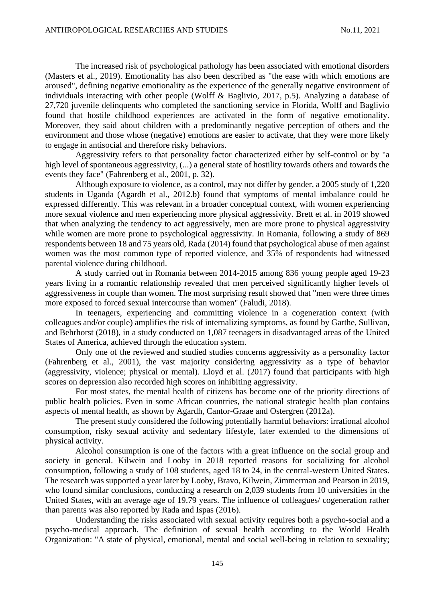The increased risk of psychological pathology has been associated with emotional disorders (Masters et al., 2019). Emotionality has also been described as "the ease with which emotions are aroused", defining negative emotionality as the experience of the generally negative environment of individuals interacting with other people (Wolff & Baglivio, 2017, p.5). Analyzing a database of 27,720 juvenile delinquents who completed the sanctioning service in Florida, Wolff and Baglivio found that hostile childhood experiences are activated in the form of negative emotionality. Moreover, they said about children with a predominantly negative perception of others and the environment and those whose (negative) emotions are easier to activate, that they were more likely to engage in antisocial and therefore risky behaviors.

Aggressivity refers to that personality factor characterized either by self-control or by "a high level of spontaneous aggressivity, (...) a general state of hostility towards others and towards the events they face" (Fahrenberg et al., 2001, p. 32).

Although exposure to violence, as a control, may not differ by gender, a 2005 study of 1,220 students in Uganda (Agardh et al., 2012.b) found that symptoms of mental imbalance could be expressed differently. This was relevant in a broader conceptual context, with women experiencing more sexual violence and men experiencing more physical aggressivity. Brett et al. in 2019 showed that when analyzing the tendency to act aggressively, men are more prone to physical aggressivity while women are more prone to psychological aggressivity. In Romania, following a study of 869 respondents between 18 and 75 years old, Rada (2014) found that psychological abuse of men against women was the most common type of reported violence, and 35% of respondents had witnessed parental violence during childhood.

A study carried out in Romania between 2014-2015 among 836 young people aged 19-23 years living in a romantic relationship revealed that men perceived significantly higher levels of aggressiveness in couple than women. The most surprising result showed that "men were three times more exposed to forced sexual intercourse than women" (Faludi, 2018).

In teenagers, experiencing and committing violence in a cogeneration context (with colleagues and/or couple) amplifies the risk of internalizing symptoms, as found by Garthe, Sullivan, and Behrhorst (2018), in a study conducted on 1,087 teenagers in disadvantaged areas of the United States of America, achieved through the education system.

Only one of the reviewed and studied studies concerns aggressivity as a personality factor (Fahrenberg et al., 2001), the vast majority considering aggressivity as a type of behavior (aggressivity, violence; physical or mental). Lloyd et al. (2017) found that participants with high scores on depression also recorded high scores on inhibiting aggressivity.

For most states, the mental health of citizens has become one of the priority directions of public health policies. Even in some African countries, the national strategic health plan contains aspects of mental health, as shown by Agardh, Cantor-Graae and Ostergren (2012a).

The present study considered the following potentially harmful behaviors: irrational alcohol consumption, risky sexual activity and sedentary lifestyle, later extended to the dimensions of physical activity.

Alcohol consumption is one of the factors with a great influence on the social group and society in general. Kilwein and Looby in 2018 reported reasons for socializing for alcohol consumption, following a study of 108 students, aged 18 to 24, in the central-western United States. The research was supported a year later by Looby, Bravo, Kilwein, Zimmerman and Pearson in 2019, who found similar conclusions, conducting a research on 2,039 students from 10 universities in the United States, with an average age of 19.79 years. The influence of colleagues/ cogeneration rather than parents was also reported by Rada and Ispas (2016).

Understanding the risks associated with sexual activity requires both a psycho-social and a psycho-medical approach. The definition of sexual health according to the World Health Organization: "A state of physical, emotional, mental and social well-being in relation to sexuality;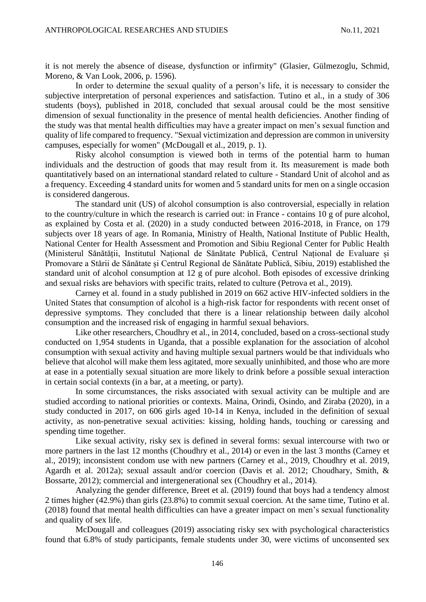it is not merely the absence of disease, dysfunction or infirmity" (Glasier, Gülmezoglu, Schmid, Moreno, & Van Look, 2006, p. 1596).

In order to determine the sexual quality of a person's life, it is necessary to consider the subjective interpretation of personal experiences and satisfaction. Tutino et al., in a study of 306 students (boys), published in 2018, concluded that sexual arousal could be the most sensitive dimension of sexual functionality in the presence of mental health deficiencies. Another finding of the study was that mental health difficulties may have a greater impact on men's sexual function and quality of life compared to frequency. "Sexual victimization and depression are common in university campuses, especially for women" (McDougall et al., 2019, p. 1).

Risky alcohol consumption is viewed both in terms of the potential harm to human individuals and the destruction of goods that may result from it. Its measurement is made both quantitatively based on an international standard related to culture - Standard Unit of alcohol and as a frequency. Exceeding 4 standard units for women and 5 standard units for men on a single occasion is considered dangerous.

The standard unit (US) of alcohol consumption is also controversial, especially in relation to the country/culture in which the research is carried out: in France - contains 10 g of pure alcohol, as explained by Costa et al. (2020) in a study conducted between 2016-2018, in France, on 179 subjects over 18 years of age. In Romania, Ministry of Health, National Institute of Public Health, National Center for Health Assessment and Promotion and Sibiu Regional Center for Public Health (Ministerul Sănătății, Institutul Național de Sănătate Publică, Centrul Național de Evaluare și Promovare a Stării de Sănătate și Centrul Regional de Sănătate Publică, Sibiu, 2019) established the standard unit of alcohol consumption at 12 g of pure alcohol. Both episodes of excessive drinking and sexual risks are behaviors with specific traits, related to culture (Petrova et al., 2019).

Carney et al. found in a study published in 2019 on 662 active HIV-infected soldiers in the United States that consumption of alcohol is a high-risk factor for respondents with recent onset of depressive symptoms. They concluded that there is a linear relationship between daily alcohol consumption and the increased risk of engaging in harmful sexual behaviors.

Like other researchers, Choudhry et al., in 2014, concluded, based on a cross-sectional study conducted on 1,954 students in Uganda, that a possible explanation for the association of alcohol consumption with sexual activity and having multiple sexual partners would be that individuals who believe that alcohol will make them less agitated, more sexually uninhibited, and those who are more at ease in a potentially sexual situation are more likely to drink before a possible sexual interaction in certain social contexts (in a bar, at a meeting, or party).

In some circumstances, the risks associated with sexual activity can be multiple and are studied according to national priorities or contexts. Maina, Orindi, Osindo, and Ziraba (2020), in a study conducted in 2017, on 606 girls aged 10-14 in Kenya, included in the definition of sexual activity, as non-penetrative sexual activities: kissing, holding hands, touching or caressing and spending time together.

Like sexual activity, risky sex is defined in several forms: sexual intercourse with two or more partners in the last 12 months (Choudhry et al., 2014) or even in the last 3 months (Carney et al., 2019); inconsistent condom use with new partners (Carney et al., 2019, Choudhry et al. 2019, Agardh et al. 2012a); sexual assault and/or coercion (Davis et al. 2012; Choudhary, Smith, & Bossarte, 2012); commercial and intergenerational sex (Choudhry et al., 2014).

Analyzing the gender difference, Breet et al. (2019) found that boys had a tendency almost 2 times higher (42.9%) than girls (23.8%) to commit sexual coercion. At the same time, Tutino et al. (2018) found that mental health difficulties can have a greater impact on men's sexual functionality and quality of sex life.

McDougall and colleagues (2019) associating risky sex with psychological characteristics found that 6.8% of study participants, female students under 30, were victims of unconsented sex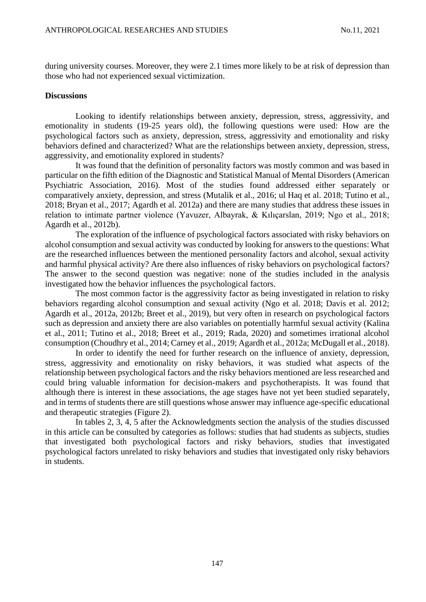during university courses. Moreover, they were 2.1 times more likely to be at risk of depression than those who had not experienced sexual victimization.

#### **Discussions**

Looking to identify relationships between anxiety, depression, stress, aggressivity, and emotionality in students (19-25 years old), the following questions were used: How are the psychological factors such as anxiety, depression, stress, aggressivity and emotionality and risky behaviors defined and characterized? What are the relationships between anxiety, depression, stress, aggressivity, and emotionality explored in students?

It was found that the definition of personality factors was mostly common and was based in particular on the fifth edition of the Diagnostic and Statistical Manual of Mental Disorders (American Psychiatric Association, 2016). Most of the studies found addressed either separately or comparatively anxiety, depression, and stress (Mutalik et al., 2016; ul Haq et al. 2018; Tutino et al., 2018; Bryan et al., 2017; Agardh et al. 2012a) and there are many studies that address these issues in relation to intimate partner violence (Yavuzer, Albayrak, & Kılıçarslan, 2019; Ngo et al., 2018; Agardh et al., 2012b).

The exploration of the influence of psychological factors associated with risky behaviors on alcohol consumption and sexual activity was conducted by looking for answers to the questions: What are the researched influences between the mentioned personality factors and alcohol, sexual activity and harmful physical activity? Are there also influences of risky behaviors on psychological factors? The answer to the second question was negative: none of the studies included in the analysis investigated how the behavior influences the psychological factors.

The most common factor is the aggressivity factor as being investigated in relation to risky behaviors regarding alcohol consumption and sexual activity (Ngo et al. 2018; Davis et al. 2012; Agardh et al., 2012a, 2012b; Breet et al., 2019), but very often in research on psychological factors such as depression and anxiety there are also variables on potentially harmful sexual activity (Kalina et al., 2011; Tutino et al., 2018; Breet et al., 2019; Rada, 2020) and sometimes irrational alcohol consumption (Choudhry et al., 2014; Carney et al., 2019; Agardh et al., 2012a; McDugall et al., 2018).

In order to identify the need for further research on the influence of anxiety, depression, stress, aggressivity and emotionality on risky behaviors, it was studied what aspects of the relationship between psychological factors and the risky behaviors mentioned are less researched and could bring valuable information for decision-makers and psychotherapists. It was found that although there is interest in these associations, the age stages have not yet been studied separately, and in terms of students there are still questions whose answer may influence age-specific educational and therapeutic strategies (Figure 2).

In tables 2, 3, 4, 5 after the Acknowledgments section the analysis of the studies discussed in this article can be consulted by categories as follows: studies that had students as subjects, studies that investigated both psychological factors and risky behaviors, studies that investigated psychological factors unrelated to risky behaviors and studies that investigated only risky behaviors in students.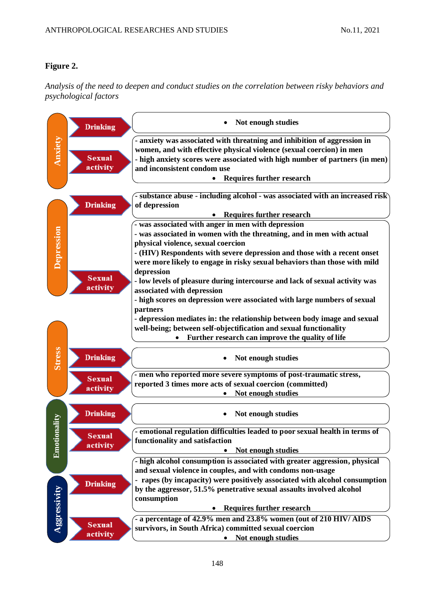## **Figure 2.**

*Analysis of the need to deepen and conduct studies on the correlation between risky behaviors and psychological factors* 

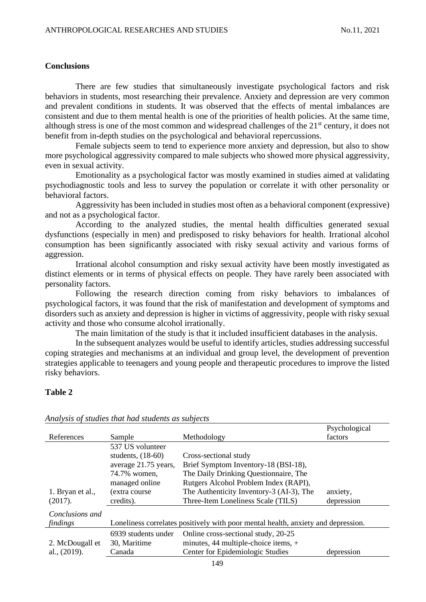#### **Conclusions**

There are few studies that simultaneously investigate psychological factors and risk behaviors in students, most researching their prevalence. Anxiety and depression are very common and prevalent conditions in students. It was observed that the effects of mental imbalances are consistent and due to them mental health is one of the priorities of health policies. At the same time, although stress is one of the most common and widespread challenges of the  $21<sup>st</sup>$  century, it does not benefit from in-depth studies on the psychological and behavioral repercussions.

Female subjects seem to tend to experience more anxiety and depression, but also to show more psychological aggressivity compared to male subjects who showed more physical aggressivity, even in sexual activity.

Emotionality as a psychological factor was mostly examined in studies aimed at validating psychodiagnostic tools and less to survey the population or correlate it with other personality or behavioral factors.

Aggressivity has been included in studies most often as a behavioral component (expressive) and not as a psychological factor.

According to the analyzed studies, the mental health difficulties generated sexual dysfunctions (especially in men) and predisposed to risky behaviors for health. Irrational alcohol consumption has been significantly associated with risky sexual activity and various forms of aggression.

Irrational alcohol consumption and risky sexual activity have been mostly investigated as distinct elements or in terms of physical effects on people. They have rarely been associated with personality factors.

Following the research direction coming from risky behaviors to imbalances of psychological factors, it was found that the risk of manifestation and development of symptoms and disorders such as anxiety and depression is higher in victims of aggressivity, people with risky sexual activity and those who consume alcohol irrationally.

The main limitation of the study is that it included insufficient databases in the analysis.

In the subsequent analyzes would be useful to identify articles, studies addressing successful coping strategies and mechanisms at an individual and group level, the development of prevention strategies applicable to teenagers and young people and therapeutic procedures to improve the listed risky behaviors.

### **Table 2**

|                  |                                                                                   |                                          | Psychological |
|------------------|-----------------------------------------------------------------------------------|------------------------------------------|---------------|
| References       | Sample                                                                            | Methodology                              | factors       |
|                  | 537 US volunteer                                                                  |                                          |               |
|                  | students, $(18-60)$                                                               | Cross-sectional study                    |               |
|                  | average 21.75 years,                                                              | Brief Symptom Inventory-18 (BSI-18),     |               |
|                  | 74.7% women,                                                                      | The Daily Drinking Questionnaire, The    |               |
|                  | managed online                                                                    | Rutgers Alcohol Problem Index (RAPI),    |               |
| 1. Bryan et al., | (extra course)                                                                    | The Authenticity Inventory-3 (AI-3), The | anxiety,      |
| (2017).          | credits).                                                                         | Three-Item Loneliness Scale (TILS)       | depression    |
| Conclusions and  |                                                                                   |                                          |               |
| findings         | Loneliness correlates positively with poor mental health, anxiety and depression. |                                          |               |
|                  | 6939 students under                                                               | Online cross-sectional study, 20-25      |               |
| 2. McDougall et  | 30, Maritime                                                                      | minutes, 44 multiple-choice items, +     |               |
| al., (2019).     | Canada                                                                            | Center for Epidemiologic Studies         | depression    |
|                  |                                                                                   |                                          |               |

#### *Analysis of studies that had students as subjects*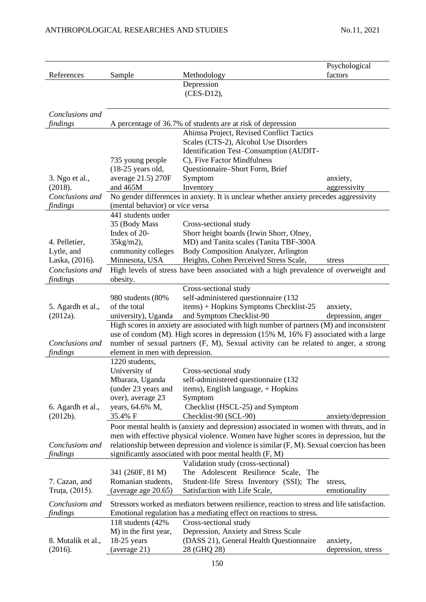| References                  |                                             |                                                                                                                                                        | Psychological<br>factors |
|-----------------------------|---------------------------------------------|--------------------------------------------------------------------------------------------------------------------------------------------------------|--------------------------|
|                             | Sample                                      | Methodology<br>Depression                                                                                                                              |                          |
|                             |                                             | (CES-D12),                                                                                                                                             |                          |
|                             |                                             |                                                                                                                                                        |                          |
| Conclusions and             |                                             |                                                                                                                                                        |                          |
| findings                    |                                             | A percentage of 36.7% of students are at risk of depression                                                                                            |                          |
|                             |                                             | Ahimsa Project, Revised Conflict Tactics                                                                                                               |                          |
|                             |                                             | Scales (CTS-2), Alcohol Use Disorders                                                                                                                  |                          |
|                             |                                             | Identification Test-Consumption (AUDIT-                                                                                                                |                          |
|                             | 735 young people                            | C), Five Factor Mindfulness                                                                                                                            |                          |
|                             | $(18-25 \text{ years old},$                 | Questionnaire-Short Form, Brief                                                                                                                        |                          |
| 3. Ngo et al.,              | average 21.5) 270F                          | Symptom                                                                                                                                                | anxiety,                 |
| (2018).                     | and 465M                                    | Inventory                                                                                                                                              | aggressivity             |
| Conclusions and             |                                             | No gender differences in anxiety. It is unclear whether anxiety precedes aggressivity                                                                  |                          |
| findings                    | (mental behavior) or vice versa             |                                                                                                                                                        |                          |
|                             | 441 students under                          |                                                                                                                                                        |                          |
|                             | 35 (Body Mass                               | Cross-sectional study                                                                                                                                  |                          |
|                             | Index of 20-                                | Shorr height boards (Irwin Shorr, Olney,                                                                                                               |                          |
| 4. Pelletier,               | 35kg/m2),                                   | MD) and Tanita scales (Tanita TBF-300A                                                                                                                 |                          |
| Lytle, and                  | community colleges                          | Body Composition Analyzer, Arlington                                                                                                                   |                          |
| Laska, (2016).              | Minnesota, USA                              | Heights, Cohen Perceived Stress Scale,                                                                                                                 | stress                   |
| Conclusions and             |                                             | High levels of stress have been associated with a high prevalence of overweight and                                                                    |                          |
| findings                    | obesity.                                    | Cross-sectional study                                                                                                                                  |                          |
|                             | 980 students (80%                           | self-administered questionnaire (132                                                                                                                   |                          |
| 5. Agardh et al.,           | of the total                                | items) + Hopkins Symptoms Checklist-25                                                                                                                 | anxiety,                 |
| (2012a).                    | university), Uganda                         | and Symptom Checklist-90                                                                                                                               | depression, anger        |
|                             |                                             | High scores in anxiety are associated with high number of partners (M) and inconsistent                                                                |                          |
|                             |                                             | use of condom (M). High scores in depression (15% M, 16% F) associated with a large                                                                    |                          |
| Conclusions and             |                                             | number of sexual partners (F, M), Sexual activity can be related to anger, a strong                                                                    |                          |
| findings                    | element in men with depression.             |                                                                                                                                                        |                          |
|                             | 1220 students,                              |                                                                                                                                                        |                          |
|                             | University of                               | Cross-sectional study                                                                                                                                  |                          |
|                             | Mbarara, Uganda                             | self-administered questionnaire (132                                                                                                                   |                          |
|                             | (under 23 years and                         | items), English language, + Hopkins                                                                                                                    |                          |
|                             | over), average 23                           | Symptom                                                                                                                                                |                          |
| 6. Agardh et al.,           | years, 64.6% M,                             | Checklist (HSCL-25) and Symptom                                                                                                                        |                          |
| (2012b).                    | 35.4% F                                     | Checklist-90 (SCL-90)                                                                                                                                  | anxiety/depression       |
|                             |                                             | Poor mental health is (anxiety and depression) associated in women with threats, and in                                                                |                          |
|                             |                                             | men with effective physical violence. Women have higher scores in depression, but the                                                                  |                          |
| Conclusions and<br>findings |                                             | relationship between depression and violence is similar $(F, M)$ . Sexual coercion has been<br>significantly associated with poor mental health (F, M) |                          |
|                             |                                             | Validation study (cross-sectional)                                                                                                                     |                          |
|                             | 341 (260F, 81 M)                            | The Adolescent Resilience Scale,<br>The                                                                                                                |                          |
| 7. Cazan, and               | Romanian students,                          | Student-life Stress Inventory (SSI); The                                                                                                               | stress,                  |
| Truța, (2015).              | (average age 20.65)                         | Satisfaction with Life Scale,                                                                                                                          | emotionality             |
|                             |                                             |                                                                                                                                                        |                          |
| Conclusions and             |                                             | Stressors worked as mediators between resilience, reaction to stress and life satisfaction.                                                            |                          |
| findings                    |                                             | Emotional regulation has a mediating effect on reactions to stress.                                                                                    |                          |
|                             | 118 students (42%)<br>M) in the first year, | Cross-sectional study<br>Depression, Anxiety and Stress Scale                                                                                          |                          |
| 8. Mutalik et al.,          | $18-25$ years                               | (DASS 21), General Health Questionnaire                                                                                                                | anxiety,                 |
| (2016).                     | (average 21)                                | 28 (GHQ 28)                                                                                                                                            | depression, stress       |
|                             |                                             |                                                                                                                                                        |                          |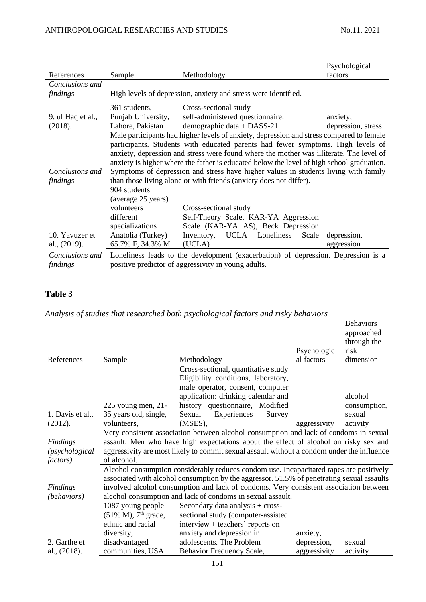|                             |                    |                                                                                                                                          | Psychological      |
|-----------------------------|--------------------|------------------------------------------------------------------------------------------------------------------------------------------|--------------------|
| References                  | Sample             | Methodology                                                                                                                              | factors            |
| Conclusions and             |                    |                                                                                                                                          |                    |
| findings                    |                    | High levels of depression, anxiety and stress were identified.                                                                           |                    |
|                             | 361 students,      | Cross-sectional study                                                                                                                    |                    |
| 9. ul Haq et al.,           | Punjab University, | self-administered questionnaire:                                                                                                         | anxiety,           |
| (2018).                     | Lahore, Pakistan   | demographic data + DASS-21                                                                                                               | depression, stress |
|                             |                    | Male participants had higher levels of anxiety, depression and stress compared to female                                                 |                    |
|                             |                    | participants. Students with educated parents had fewer symptoms. High levels of                                                          |                    |
|                             |                    | anxiety, depression and stress were found where the mother was illiterate. The level of                                                  |                    |
|                             |                    | anxiety is higher where the father is educated below the level of high school graduation.                                                |                    |
| Conclusions and             |                    | Symptoms of depression and stress have higher values in students living with family                                                      |                    |
| findings                    |                    | than those living alone or with friends (anxiety does not differ).                                                                       |                    |
|                             | 904 students       |                                                                                                                                          |                    |
|                             | (average 25 years) |                                                                                                                                          |                    |
|                             | volunteers         | Cross-sectional study                                                                                                                    |                    |
|                             | different          | Self-Theory Scale, KAR-YA Aggression                                                                                                     |                    |
|                             | specializations    | Scale (KAR-YA AS), Beck Depression                                                                                                       |                    |
| 10. Yavuzer et              | Anatolia (Turkey)  | UCLA Loneliness<br>Inventory,<br>Scale                                                                                                   | depression,        |
| al., (2019).                | 65.7% F, 34.3% M   | (UCLA)                                                                                                                                   | aggression         |
| Conclusions and<br>findings |                    | Loneliness leads to the development (exacerbation) of depression. Depression is a<br>positive predictor of aggressivity in young adults. |                    |

## **Table 3**

## *Analysis of studies that researched both psychological factors and risky behaviors*

|                  |                                     |                                                                                            |              | <b>Behaviors</b><br>approached<br>through the |
|------------------|-------------------------------------|--------------------------------------------------------------------------------------------|--------------|-----------------------------------------------|
|                  |                                     |                                                                                            | Psychologic  | risk                                          |
| References       | Sample                              | Methodology                                                                                | al factors   | dimension                                     |
|                  |                                     | Cross-sectional, quantitative study                                                        |              |                                               |
|                  |                                     | Eligibility conditions, laboratory,                                                        |              |                                               |
|                  |                                     | male operator, consent, computer                                                           |              |                                               |
|                  |                                     | application: drinking calendar and                                                         |              | alcohol                                       |
|                  | $225$ young men, $21$ -             | history questionnaire, Modified                                                            |              | consumption,                                  |
| 1. Davis et al., | 35 years old, single,               | Sexual<br>Experiences<br>Survey                                                            |              | sexual                                        |
| (2012).          | volunteers.                         | (MSES),                                                                                    | aggressivity | activity                                      |
|                  |                                     | Very consistent association between alcohol consumption and lack of condoms in sexual      |              |                                               |
| Findings         |                                     | assault. Men who have high expectations about the effect of alcohol on risky sex and       |              |                                               |
| (psychological   |                                     | aggressivity are most likely to commit sexual assault without a condom under the influence |              |                                               |
| <i>factors</i> ) | of alcohol.                         |                                                                                            |              |                                               |
|                  |                                     | Alcohol consumption considerably reduces condom use. Incapacitated rapes are positively    |              |                                               |
|                  |                                     | associated with alcohol consumption by the aggressor. 51.5% of penetrating sexual assaults |              |                                               |
| Findings         |                                     | involved alcohol consumption and lack of condoms. Very consistent association between      |              |                                               |
| (behaviors)      |                                     | alcohol consumption and lack of condoms in sexual assault.                                 |              |                                               |
|                  | 1087 young people                   | Secondary data analysis + cross-                                                           |              |                                               |
|                  | $(51\% M)$ , 7 <sup>th</sup> grade, | sectional study (computer-assisted                                                         |              |                                               |
|                  | ethnic and racial                   | interview + teachers' reports on                                                           |              |                                               |
|                  | diversity,                          | anxiety and depression in                                                                  | anxiety,     |                                               |
| 2. Garthe et     | disadvantaged                       | adolescents. The Problem                                                                   | depression,  | sexual                                        |
| al., (2018).     | communities, USA                    | Behavior Frequency Scale,                                                                  | aggressivity | activity                                      |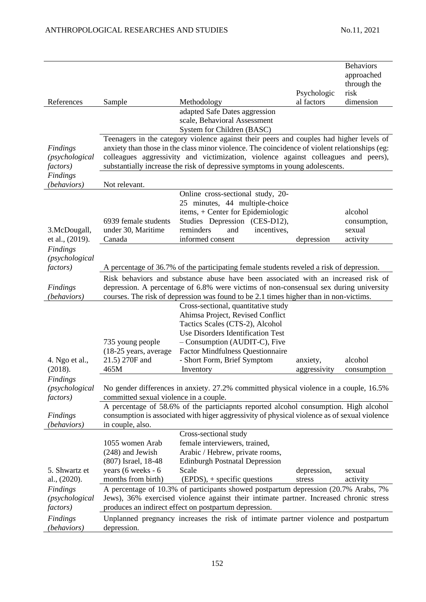|                                                                                 |                                                                                                                                                                                                                                                                                                                                                                     |                                                                                                                                                                                                                                                                                                                                                                | Psychologic           | <b>Behaviors</b><br>approached<br>through the<br>risk |  |
|---------------------------------------------------------------------------------|---------------------------------------------------------------------------------------------------------------------------------------------------------------------------------------------------------------------------------------------------------------------------------------------------------------------------------------------------------------------|----------------------------------------------------------------------------------------------------------------------------------------------------------------------------------------------------------------------------------------------------------------------------------------------------------------------------------------------------------------|-----------------------|-------------------------------------------------------|--|
| References                                                                      | Sample                                                                                                                                                                                                                                                                                                                                                              | Methodology                                                                                                                                                                                                                                                                                                                                                    | al factors            | dimension                                             |  |
|                                                                                 |                                                                                                                                                                                                                                                                                                                                                                     | adapted Safe Dates aggression<br>scale, Behavioral Assessment<br>System for Children (BASC)                                                                                                                                                                                                                                                                    |                       |                                                       |  |
| Findings<br>(psychological<br><i>factors</i> )<br><b>Findings</b>               |                                                                                                                                                                                                                                                                                                                                                                     | Teenagers in the category violence against their peers and couples had higher levels of<br>anxiety than those in the class minor violence. The coincidence of violent relationships (eg:<br>colleagues aggressivity and victimization, violence against colleagues and peers),<br>substantially increase the risk of depressive symptoms in young adolescents. |                       |                                                       |  |
| (behaviors)                                                                     | Not relevant.                                                                                                                                                                                                                                                                                                                                                       |                                                                                                                                                                                                                                                                                                                                                                |                       |                                                       |  |
| 3.McDougall,<br>et al., (2019).                                                 | 6939 female students<br>under 30, Maritime<br>Canada                                                                                                                                                                                                                                                                                                                | Online cross-sectional study, 20-<br>25 minutes, 44 multiple-choice<br>items, + Center for Epidemiologic<br>Studies Depression (CES-D12),<br>reminders<br>and<br>incentives,<br>informed consent                                                                                                                                                               | depression            | alcohol<br>consumption,<br>sexual<br>activity         |  |
| <b>Findings</b><br>(psychological<br><i>factors</i> )                           |                                                                                                                                                                                                                                                                                                                                                                     | A percentage of 36.7% of the participating female students reveled a risk of depression.                                                                                                                                                                                                                                                                       |                       |                                                       |  |
| Findings<br>(behaviors)                                                         |                                                                                                                                                                                                                                                                                                                                                                     | Risk behaviors and substance abuse have been associated with an increased risk of<br>depression. A percentage of 6.8% were victims of non-consensual sex during university<br>courses. The risk of depression was found to be 2.1 times higher than in non-victims.                                                                                            |                       |                                                       |  |
| 4. Ngo et al.,<br>(2018).                                                       | 735 young people<br>$(18-25 \text{ years}, \text{average})$<br>21.5) 270F and<br>465M                                                                                                                                                                                                                                                                               | Cross-sectional, quantitative study<br>Ahimsa Project, Revised Conflict<br>Tactics Scales (CTS-2), Alcohol<br>Use Disorders Identification Test<br>- Consumption (AUDIT-C), Five<br><b>Factor Mindfulness Questionnaire</b><br>- Short Form, Brief Symptom                                                                                                     | anxiety,              | alcohol                                               |  |
| Findings<br>(p <sub>sv</sub> chological<br><i>factors</i> )                     | Inventory<br>aggressivity<br>consumption<br>No gender differences in anxiety. 27.2% committed physical violence in a couple, 16.5%<br>committed sexual violence in a couple.<br>A percentage of 58.6% of the particiants reported alcohol consumption. High alcohol<br>consumption is associated with higer aggressivity of physical violence as of sexual violence |                                                                                                                                                                                                                                                                                                                                                                |                       |                                                       |  |
| Findings<br>(behaviors)                                                         | in couple, also.                                                                                                                                                                                                                                                                                                                                                    |                                                                                                                                                                                                                                                                                                                                                                |                       |                                                       |  |
|                                                                                 | 1055 women Arab<br>(248) and Jewish<br>(807) Israel, 18-48                                                                                                                                                                                                                                                                                                          | Cross-sectional study<br>female interviewers, trained,<br>Arabic / Hebrew, private rooms,<br><b>Edinburgh Postnatal Depression</b>                                                                                                                                                                                                                             |                       |                                                       |  |
| 5. Shwartz et<br>al., (2020).<br>Findings<br>(psychological<br><i>factors</i> ) | years (6 weeks - 6<br>months from birth)                                                                                                                                                                                                                                                                                                                            | Scale<br>$(EPDS)$ , + specific questions<br>A percentage of 10.3% of participants showed postpartum depression (20.7% Arabs, 7%<br>Jews), 36% exercised violence against their intimate partner. Increased chronic stress<br>produces an indirect effect on postpartum depression.                                                                             | depression,<br>stress | sexual<br>activity                                    |  |
| Findings<br>(behaviors)                                                         | depression.                                                                                                                                                                                                                                                                                                                                                         | Unplanned pregnancy increases the risk of intimate partner violence and postpartum                                                                                                                                                                                                                                                                             |                       |                                                       |  |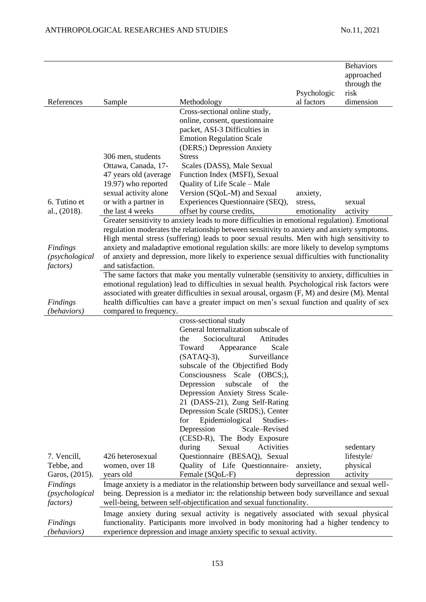| Cross-sectional online study,<br>online, consent, questionnaire<br>packet, ASI-3 Difficulties in<br><b>Emotion Regulation Scale</b><br>(DERS;) Depression Anxiety<br>306 men, students<br><b>Stress</b><br>Ottawa, Canada, 17-<br>Scales (DASS), Male Sexual<br>47 years old (average<br>Function Index (MSFI), Sexual<br>19.97) who reported<br>Quality of Life Scale – Male<br>sexual activity alone<br>Version (SQoL-M) and Sexual<br>anxiety,<br>6. Tutino et<br>or with a partner in<br>Experiences Questionnaire (SEQ),<br>stress,<br>sexual<br>the last 4 weeks<br>offset by course credits,<br>al., $(2018)$ .<br>emotionality<br>activity<br>Greater sensitivity to anxiety leads to more difficulties in emotional regulation). Emotional<br>regulation moderates the relationship between sensitivity to anxiety and anxiety symptoms.<br>High mental stress (suffering) leads to poor sexual results. Men with high sensitivity to<br>anxiety and maladaptive emotional regulation skills: are more likely to develop symptoms<br><b>Findings</b><br>of anxiety and depression, more likely to experience sexual difficulties with functionality<br>(psychological<br>and satisfaction.<br><i>factors</i> )<br>The same factors that make you mentally vulnerable (sensitivity to anxiety, difficulties in<br>emotional regulation) lead to difficulties in sexual health. Psychological risk factors were<br>associated with greater difficulties in sexual arousal, orgasm (F, M) and desire (M). Mental<br>health difficulties can have a greater impact on men's sexual function and quality of sex<br>Findings<br>(behaviors)<br>compared to frequency.<br>cross-sectional study<br>General Internalization subscale of<br>Sociocultural<br>Attitudes<br>the<br>Scale<br>Toward<br>Appearance<br>Surveillance<br>$(SATAQ-3),$<br>subscale of the Objectified Body<br>Consciousness Scale (OBCS;),<br>Depression<br>subscale<br>of<br>the<br>Depression Anxiety Stress Scale-<br>21 (DASS-21), Zung Self-Rating<br>Depression Scale (SRDS;), Center<br>Epidemiological<br>Studies-<br>for<br>Depression<br>Scale-Revised<br>(CESD-R), The Body Exposure<br>Activities<br>Sexual<br>during<br>sedentary<br>7. Vencill,<br>426 heterosexual<br>Questionnaire (BESAQ), Sexual<br>lifestyle/<br>women, over 18<br>Quality of Life Questionnaire-<br>Tebbe, and<br>physical<br>anxiety,<br>Garos, (2015).<br>years old<br>depression<br>Female (SQoL-F)<br>activity<br>Image anxiety is a mediator in the relationship between body surveillance and sexual well-<br>Findings<br>being. Depression is a mediator in: the relationship between body surveillance and sexual<br>(psychological<br><i>factors</i> )<br>well-being, between self-objectification and sexual functionality. | References | Sample | Methodology | Psychologic<br>al factors | <b>Behaviors</b><br>approached<br>through the<br>risk<br>dimension |
|---------------------------------------------------------------------------------------------------------------------------------------------------------------------------------------------------------------------------------------------------------------------------------------------------------------------------------------------------------------------------------------------------------------------------------------------------------------------------------------------------------------------------------------------------------------------------------------------------------------------------------------------------------------------------------------------------------------------------------------------------------------------------------------------------------------------------------------------------------------------------------------------------------------------------------------------------------------------------------------------------------------------------------------------------------------------------------------------------------------------------------------------------------------------------------------------------------------------------------------------------------------------------------------------------------------------------------------------------------------------------------------------------------------------------------------------------------------------------------------------------------------------------------------------------------------------------------------------------------------------------------------------------------------------------------------------------------------------------------------------------------------------------------------------------------------------------------------------------------------------------------------------------------------------------------------------------------------------------------------------------------------------------------------------------------------------------------------------------------------------------------------------------------------------------------------------------------------------------------------------------------------------------------------------------------------------------------------------------------------------------------------------------------------------------------------------------------------------------------------------------------------------------------------------------------------------------------------------------------------------------------------------------------------------------------------------------------------------------------------------------------------------------------------------------|------------|--------|-------------|---------------------------|--------------------------------------------------------------------|
|                                                                                                                                                                                                                                                                                                                                                                                                                                                                                                                                                                                                                                                                                                                                                                                                                                                                                                                                                                                                                                                                                                                                                                                                                                                                                                                                                                                                                                                                                                                                                                                                                                                                                                                                                                                                                                                                                                                                                                                                                                                                                                                                                                                                                                                                                                                                                                                                                                                                                                                                                                                                                                                                                                                                                                                                   |            |        |             |                           |                                                                    |
|                                                                                                                                                                                                                                                                                                                                                                                                                                                                                                                                                                                                                                                                                                                                                                                                                                                                                                                                                                                                                                                                                                                                                                                                                                                                                                                                                                                                                                                                                                                                                                                                                                                                                                                                                                                                                                                                                                                                                                                                                                                                                                                                                                                                                                                                                                                                                                                                                                                                                                                                                                                                                                                                                                                                                                                                   |            |        |             |                           |                                                                    |
|                                                                                                                                                                                                                                                                                                                                                                                                                                                                                                                                                                                                                                                                                                                                                                                                                                                                                                                                                                                                                                                                                                                                                                                                                                                                                                                                                                                                                                                                                                                                                                                                                                                                                                                                                                                                                                                                                                                                                                                                                                                                                                                                                                                                                                                                                                                                                                                                                                                                                                                                                                                                                                                                                                                                                                                                   |            |        |             |                           |                                                                    |
|                                                                                                                                                                                                                                                                                                                                                                                                                                                                                                                                                                                                                                                                                                                                                                                                                                                                                                                                                                                                                                                                                                                                                                                                                                                                                                                                                                                                                                                                                                                                                                                                                                                                                                                                                                                                                                                                                                                                                                                                                                                                                                                                                                                                                                                                                                                                                                                                                                                                                                                                                                                                                                                                                                                                                                                                   |            |        |             |                           |                                                                    |
|                                                                                                                                                                                                                                                                                                                                                                                                                                                                                                                                                                                                                                                                                                                                                                                                                                                                                                                                                                                                                                                                                                                                                                                                                                                                                                                                                                                                                                                                                                                                                                                                                                                                                                                                                                                                                                                                                                                                                                                                                                                                                                                                                                                                                                                                                                                                                                                                                                                                                                                                                                                                                                                                                                                                                                                                   |            |        |             |                           |                                                                    |
|                                                                                                                                                                                                                                                                                                                                                                                                                                                                                                                                                                                                                                                                                                                                                                                                                                                                                                                                                                                                                                                                                                                                                                                                                                                                                                                                                                                                                                                                                                                                                                                                                                                                                                                                                                                                                                                                                                                                                                                                                                                                                                                                                                                                                                                                                                                                                                                                                                                                                                                                                                                                                                                                                                                                                                                                   |            |        |             |                           |                                                                    |
|                                                                                                                                                                                                                                                                                                                                                                                                                                                                                                                                                                                                                                                                                                                                                                                                                                                                                                                                                                                                                                                                                                                                                                                                                                                                                                                                                                                                                                                                                                                                                                                                                                                                                                                                                                                                                                                                                                                                                                                                                                                                                                                                                                                                                                                                                                                                                                                                                                                                                                                                                                                                                                                                                                                                                                                                   |            |        |             |                           |                                                                    |
|                                                                                                                                                                                                                                                                                                                                                                                                                                                                                                                                                                                                                                                                                                                                                                                                                                                                                                                                                                                                                                                                                                                                                                                                                                                                                                                                                                                                                                                                                                                                                                                                                                                                                                                                                                                                                                                                                                                                                                                                                                                                                                                                                                                                                                                                                                                                                                                                                                                                                                                                                                                                                                                                                                                                                                                                   |            |        |             |                           |                                                                    |
|                                                                                                                                                                                                                                                                                                                                                                                                                                                                                                                                                                                                                                                                                                                                                                                                                                                                                                                                                                                                                                                                                                                                                                                                                                                                                                                                                                                                                                                                                                                                                                                                                                                                                                                                                                                                                                                                                                                                                                                                                                                                                                                                                                                                                                                                                                                                                                                                                                                                                                                                                                                                                                                                                                                                                                                                   |            |        |             |                           |                                                                    |
|                                                                                                                                                                                                                                                                                                                                                                                                                                                                                                                                                                                                                                                                                                                                                                                                                                                                                                                                                                                                                                                                                                                                                                                                                                                                                                                                                                                                                                                                                                                                                                                                                                                                                                                                                                                                                                                                                                                                                                                                                                                                                                                                                                                                                                                                                                                                                                                                                                                                                                                                                                                                                                                                                                                                                                                                   |            |        |             |                           |                                                                    |
|                                                                                                                                                                                                                                                                                                                                                                                                                                                                                                                                                                                                                                                                                                                                                                                                                                                                                                                                                                                                                                                                                                                                                                                                                                                                                                                                                                                                                                                                                                                                                                                                                                                                                                                                                                                                                                                                                                                                                                                                                                                                                                                                                                                                                                                                                                                                                                                                                                                                                                                                                                                                                                                                                                                                                                                                   |            |        |             |                           |                                                                    |
|                                                                                                                                                                                                                                                                                                                                                                                                                                                                                                                                                                                                                                                                                                                                                                                                                                                                                                                                                                                                                                                                                                                                                                                                                                                                                                                                                                                                                                                                                                                                                                                                                                                                                                                                                                                                                                                                                                                                                                                                                                                                                                                                                                                                                                                                                                                                                                                                                                                                                                                                                                                                                                                                                                                                                                                                   |            |        |             |                           |                                                                    |
|                                                                                                                                                                                                                                                                                                                                                                                                                                                                                                                                                                                                                                                                                                                                                                                                                                                                                                                                                                                                                                                                                                                                                                                                                                                                                                                                                                                                                                                                                                                                                                                                                                                                                                                                                                                                                                                                                                                                                                                                                                                                                                                                                                                                                                                                                                                                                                                                                                                                                                                                                                                                                                                                                                                                                                                                   |            |        |             |                           |                                                                    |
|                                                                                                                                                                                                                                                                                                                                                                                                                                                                                                                                                                                                                                                                                                                                                                                                                                                                                                                                                                                                                                                                                                                                                                                                                                                                                                                                                                                                                                                                                                                                                                                                                                                                                                                                                                                                                                                                                                                                                                                                                                                                                                                                                                                                                                                                                                                                                                                                                                                                                                                                                                                                                                                                                                                                                                                                   |            |        |             |                           |                                                                    |
|                                                                                                                                                                                                                                                                                                                                                                                                                                                                                                                                                                                                                                                                                                                                                                                                                                                                                                                                                                                                                                                                                                                                                                                                                                                                                                                                                                                                                                                                                                                                                                                                                                                                                                                                                                                                                                                                                                                                                                                                                                                                                                                                                                                                                                                                                                                                                                                                                                                                                                                                                                                                                                                                                                                                                                                                   |            |        |             |                           |                                                                    |
|                                                                                                                                                                                                                                                                                                                                                                                                                                                                                                                                                                                                                                                                                                                                                                                                                                                                                                                                                                                                                                                                                                                                                                                                                                                                                                                                                                                                                                                                                                                                                                                                                                                                                                                                                                                                                                                                                                                                                                                                                                                                                                                                                                                                                                                                                                                                                                                                                                                                                                                                                                                                                                                                                                                                                                                                   |            |        |             |                           |                                                                    |
|                                                                                                                                                                                                                                                                                                                                                                                                                                                                                                                                                                                                                                                                                                                                                                                                                                                                                                                                                                                                                                                                                                                                                                                                                                                                                                                                                                                                                                                                                                                                                                                                                                                                                                                                                                                                                                                                                                                                                                                                                                                                                                                                                                                                                                                                                                                                                                                                                                                                                                                                                                                                                                                                                                                                                                                                   |            |        |             |                           |                                                                    |
|                                                                                                                                                                                                                                                                                                                                                                                                                                                                                                                                                                                                                                                                                                                                                                                                                                                                                                                                                                                                                                                                                                                                                                                                                                                                                                                                                                                                                                                                                                                                                                                                                                                                                                                                                                                                                                                                                                                                                                                                                                                                                                                                                                                                                                                                                                                                                                                                                                                                                                                                                                                                                                                                                                                                                                                                   |            |        |             |                           |                                                                    |
|                                                                                                                                                                                                                                                                                                                                                                                                                                                                                                                                                                                                                                                                                                                                                                                                                                                                                                                                                                                                                                                                                                                                                                                                                                                                                                                                                                                                                                                                                                                                                                                                                                                                                                                                                                                                                                                                                                                                                                                                                                                                                                                                                                                                                                                                                                                                                                                                                                                                                                                                                                                                                                                                                                                                                                                                   |            |        |             |                           |                                                                    |
|                                                                                                                                                                                                                                                                                                                                                                                                                                                                                                                                                                                                                                                                                                                                                                                                                                                                                                                                                                                                                                                                                                                                                                                                                                                                                                                                                                                                                                                                                                                                                                                                                                                                                                                                                                                                                                                                                                                                                                                                                                                                                                                                                                                                                                                                                                                                                                                                                                                                                                                                                                                                                                                                                                                                                                                                   |            |        |             |                           |                                                                    |
|                                                                                                                                                                                                                                                                                                                                                                                                                                                                                                                                                                                                                                                                                                                                                                                                                                                                                                                                                                                                                                                                                                                                                                                                                                                                                                                                                                                                                                                                                                                                                                                                                                                                                                                                                                                                                                                                                                                                                                                                                                                                                                                                                                                                                                                                                                                                                                                                                                                                                                                                                                                                                                                                                                                                                                                                   |            |        |             |                           |                                                                    |
|                                                                                                                                                                                                                                                                                                                                                                                                                                                                                                                                                                                                                                                                                                                                                                                                                                                                                                                                                                                                                                                                                                                                                                                                                                                                                                                                                                                                                                                                                                                                                                                                                                                                                                                                                                                                                                                                                                                                                                                                                                                                                                                                                                                                                                                                                                                                                                                                                                                                                                                                                                                                                                                                                                                                                                                                   |            |        |             |                           |                                                                    |
|                                                                                                                                                                                                                                                                                                                                                                                                                                                                                                                                                                                                                                                                                                                                                                                                                                                                                                                                                                                                                                                                                                                                                                                                                                                                                                                                                                                                                                                                                                                                                                                                                                                                                                                                                                                                                                                                                                                                                                                                                                                                                                                                                                                                                                                                                                                                                                                                                                                                                                                                                                                                                                                                                                                                                                                                   |            |        |             |                           |                                                                    |
|                                                                                                                                                                                                                                                                                                                                                                                                                                                                                                                                                                                                                                                                                                                                                                                                                                                                                                                                                                                                                                                                                                                                                                                                                                                                                                                                                                                                                                                                                                                                                                                                                                                                                                                                                                                                                                                                                                                                                                                                                                                                                                                                                                                                                                                                                                                                                                                                                                                                                                                                                                                                                                                                                                                                                                                                   |            |        |             |                           |                                                                    |
|                                                                                                                                                                                                                                                                                                                                                                                                                                                                                                                                                                                                                                                                                                                                                                                                                                                                                                                                                                                                                                                                                                                                                                                                                                                                                                                                                                                                                                                                                                                                                                                                                                                                                                                                                                                                                                                                                                                                                                                                                                                                                                                                                                                                                                                                                                                                                                                                                                                                                                                                                                                                                                                                                                                                                                                                   |            |        |             |                           |                                                                    |
|                                                                                                                                                                                                                                                                                                                                                                                                                                                                                                                                                                                                                                                                                                                                                                                                                                                                                                                                                                                                                                                                                                                                                                                                                                                                                                                                                                                                                                                                                                                                                                                                                                                                                                                                                                                                                                                                                                                                                                                                                                                                                                                                                                                                                                                                                                                                                                                                                                                                                                                                                                                                                                                                                                                                                                                                   |            |        |             |                           |                                                                    |
|                                                                                                                                                                                                                                                                                                                                                                                                                                                                                                                                                                                                                                                                                                                                                                                                                                                                                                                                                                                                                                                                                                                                                                                                                                                                                                                                                                                                                                                                                                                                                                                                                                                                                                                                                                                                                                                                                                                                                                                                                                                                                                                                                                                                                                                                                                                                                                                                                                                                                                                                                                                                                                                                                                                                                                                                   |            |        |             |                           |                                                                    |
|                                                                                                                                                                                                                                                                                                                                                                                                                                                                                                                                                                                                                                                                                                                                                                                                                                                                                                                                                                                                                                                                                                                                                                                                                                                                                                                                                                                                                                                                                                                                                                                                                                                                                                                                                                                                                                                                                                                                                                                                                                                                                                                                                                                                                                                                                                                                                                                                                                                                                                                                                                                                                                                                                                                                                                                                   |            |        |             |                           |                                                                    |
|                                                                                                                                                                                                                                                                                                                                                                                                                                                                                                                                                                                                                                                                                                                                                                                                                                                                                                                                                                                                                                                                                                                                                                                                                                                                                                                                                                                                                                                                                                                                                                                                                                                                                                                                                                                                                                                                                                                                                                                                                                                                                                                                                                                                                                                                                                                                                                                                                                                                                                                                                                                                                                                                                                                                                                                                   |            |        |             |                           |                                                                    |
|                                                                                                                                                                                                                                                                                                                                                                                                                                                                                                                                                                                                                                                                                                                                                                                                                                                                                                                                                                                                                                                                                                                                                                                                                                                                                                                                                                                                                                                                                                                                                                                                                                                                                                                                                                                                                                                                                                                                                                                                                                                                                                                                                                                                                                                                                                                                                                                                                                                                                                                                                                                                                                                                                                                                                                                                   |            |        |             |                           |                                                                    |
|                                                                                                                                                                                                                                                                                                                                                                                                                                                                                                                                                                                                                                                                                                                                                                                                                                                                                                                                                                                                                                                                                                                                                                                                                                                                                                                                                                                                                                                                                                                                                                                                                                                                                                                                                                                                                                                                                                                                                                                                                                                                                                                                                                                                                                                                                                                                                                                                                                                                                                                                                                                                                                                                                                                                                                                                   |            |        |             |                           |                                                                    |
|                                                                                                                                                                                                                                                                                                                                                                                                                                                                                                                                                                                                                                                                                                                                                                                                                                                                                                                                                                                                                                                                                                                                                                                                                                                                                                                                                                                                                                                                                                                                                                                                                                                                                                                                                                                                                                                                                                                                                                                                                                                                                                                                                                                                                                                                                                                                                                                                                                                                                                                                                                                                                                                                                                                                                                                                   |            |        |             |                           |                                                                    |
|                                                                                                                                                                                                                                                                                                                                                                                                                                                                                                                                                                                                                                                                                                                                                                                                                                                                                                                                                                                                                                                                                                                                                                                                                                                                                                                                                                                                                                                                                                                                                                                                                                                                                                                                                                                                                                                                                                                                                                                                                                                                                                                                                                                                                                                                                                                                                                                                                                                                                                                                                                                                                                                                                                                                                                                                   |            |        |             |                           |                                                                    |
|                                                                                                                                                                                                                                                                                                                                                                                                                                                                                                                                                                                                                                                                                                                                                                                                                                                                                                                                                                                                                                                                                                                                                                                                                                                                                                                                                                                                                                                                                                                                                                                                                                                                                                                                                                                                                                                                                                                                                                                                                                                                                                                                                                                                                                                                                                                                                                                                                                                                                                                                                                                                                                                                                                                                                                                                   |            |        |             |                           |                                                                    |
|                                                                                                                                                                                                                                                                                                                                                                                                                                                                                                                                                                                                                                                                                                                                                                                                                                                                                                                                                                                                                                                                                                                                                                                                                                                                                                                                                                                                                                                                                                                                                                                                                                                                                                                                                                                                                                                                                                                                                                                                                                                                                                                                                                                                                                                                                                                                                                                                                                                                                                                                                                                                                                                                                                                                                                                                   |            |        |             |                           |                                                                    |
|                                                                                                                                                                                                                                                                                                                                                                                                                                                                                                                                                                                                                                                                                                                                                                                                                                                                                                                                                                                                                                                                                                                                                                                                                                                                                                                                                                                                                                                                                                                                                                                                                                                                                                                                                                                                                                                                                                                                                                                                                                                                                                                                                                                                                                                                                                                                                                                                                                                                                                                                                                                                                                                                                                                                                                                                   |            |        |             |                           |                                                                    |
|                                                                                                                                                                                                                                                                                                                                                                                                                                                                                                                                                                                                                                                                                                                                                                                                                                                                                                                                                                                                                                                                                                                                                                                                                                                                                                                                                                                                                                                                                                                                                                                                                                                                                                                                                                                                                                                                                                                                                                                                                                                                                                                                                                                                                                                                                                                                                                                                                                                                                                                                                                                                                                                                                                                                                                                                   |            |        |             |                           |                                                                    |
|                                                                                                                                                                                                                                                                                                                                                                                                                                                                                                                                                                                                                                                                                                                                                                                                                                                                                                                                                                                                                                                                                                                                                                                                                                                                                                                                                                                                                                                                                                                                                                                                                                                                                                                                                                                                                                                                                                                                                                                                                                                                                                                                                                                                                                                                                                                                                                                                                                                                                                                                                                                                                                                                                                                                                                                                   |            |        |             |                           |                                                                    |
|                                                                                                                                                                                                                                                                                                                                                                                                                                                                                                                                                                                                                                                                                                                                                                                                                                                                                                                                                                                                                                                                                                                                                                                                                                                                                                                                                                                                                                                                                                                                                                                                                                                                                                                                                                                                                                                                                                                                                                                                                                                                                                                                                                                                                                                                                                                                                                                                                                                                                                                                                                                                                                                                                                                                                                                                   |            |        |             |                           |                                                                    |
|                                                                                                                                                                                                                                                                                                                                                                                                                                                                                                                                                                                                                                                                                                                                                                                                                                                                                                                                                                                                                                                                                                                                                                                                                                                                                                                                                                                                                                                                                                                                                                                                                                                                                                                                                                                                                                                                                                                                                                                                                                                                                                                                                                                                                                                                                                                                                                                                                                                                                                                                                                                                                                                                                                                                                                                                   |            |        |             |                           |                                                                    |
| Image anxiety during sexual activity is negatively associated with sexual physical<br>functionality. Participants more involved in body monitoring had a higher tendency to<br>Findings                                                                                                                                                                                                                                                                                                                                                                                                                                                                                                                                                                                                                                                                                                                                                                                                                                                                                                                                                                                                                                                                                                                                                                                                                                                                                                                                                                                                                                                                                                                                                                                                                                                                                                                                                                                                                                                                                                                                                                                                                                                                                                                                                                                                                                                                                                                                                                                                                                                                                                                                                                                                           |            |        |             |                           |                                                                    |
| (behaviors)<br>experience depression and image anxiety specific to sexual activity.                                                                                                                                                                                                                                                                                                                                                                                                                                                                                                                                                                                                                                                                                                                                                                                                                                                                                                                                                                                                                                                                                                                                                                                                                                                                                                                                                                                                                                                                                                                                                                                                                                                                                                                                                                                                                                                                                                                                                                                                                                                                                                                                                                                                                                                                                                                                                                                                                                                                                                                                                                                                                                                                                                               |            |        |             |                           |                                                                    |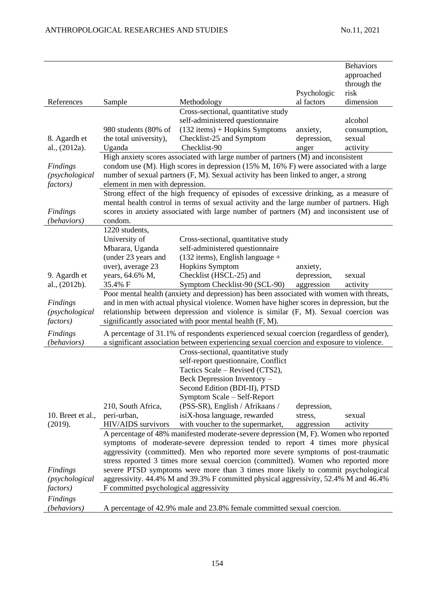|                                |                                        |                                                                                                                                                                                       |                       | <b>Behaviors</b><br>approached |
|--------------------------------|----------------------------------------|---------------------------------------------------------------------------------------------------------------------------------------------------------------------------------------|-----------------------|--------------------------------|
|                                |                                        |                                                                                                                                                                                       |                       | through the                    |
|                                |                                        |                                                                                                                                                                                       | Psychologic           | risk                           |
| References                     | Sample                                 | Methodology                                                                                                                                                                           | al factors            | dimension                      |
|                                |                                        | Cross-sectional, quantitative study<br>self-administered questionnaire                                                                                                                |                       | alcohol                        |
|                                | 980 students (80% of                   | $(132$ items) + Hopkins Symptoms                                                                                                                                                      | anxiety,              | consumption,                   |
| 8. Agardh et                   | the total university),                 | Checklist-25 and Symptom                                                                                                                                                              | depression,           | sexual                         |
| al., (2012a).                  | Uganda                                 | Checklist-90                                                                                                                                                                          | anger                 | activity                       |
|                                |                                        | High anxiety scores associated with large number of partners (M) and inconsistent                                                                                                     |                       |                                |
| Findings                       |                                        | condom use (M). High scores in depression (15% M, 16% F) were associated with a large                                                                                                 |                       |                                |
| (psychological                 |                                        | number of sexual partners (F, M). Sexual activity has been linked to anger, a strong                                                                                                  |                       |                                |
| <i>factors</i> )               | element in men with depression.        |                                                                                                                                                                                       |                       |                                |
|                                |                                        | Strong effect of the high frequency of episodes of excessive drinking, as a measure of                                                                                                |                       |                                |
|                                |                                        | mental health control in terms of sexual activity and the large number of partners. High<br>scores in anxiety associated with large number of partners (M) and inconsistent use of    |                       |                                |
| <b>Findings</b><br>(behaviors) | condom.                                |                                                                                                                                                                                       |                       |                                |
|                                | 1220 students,                         |                                                                                                                                                                                       |                       |                                |
|                                | University of                          | Cross-sectional, quantitative study                                                                                                                                                   |                       |                                |
|                                | Mbarara, Uganda                        | self-administered questionnaire                                                                                                                                                       |                       |                                |
|                                | (under 23 years and                    | $(132$ items), English language +                                                                                                                                                     |                       |                                |
|                                | over), average 23                      | Hopkins Symptom                                                                                                                                                                       | anxiety,              |                                |
| 9. Agardh et                   | years, 64.6% M,                        | Checklist (HSCL-25) and                                                                                                                                                               | depression,           | sexual                         |
| al., (2012b).                  | 35.4% F                                | Symptom Checklist-90 (SCL-90)                                                                                                                                                         | aggression            | activity                       |
|                                |                                        | Poor mental health (anxiety and depression) has been associated with women with threats,<br>and in men with actual physical violence. Women have higher scores in depression, but the |                       |                                |
| Findings<br>(psychological     |                                        | relationship between depression and violence is similar (F, M). Sexual coercion was                                                                                                   |                       |                                |
| <i>factors</i> )               |                                        | significantly associated with poor mental health (F, M).                                                                                                                              |                       |                                |
| <b>Findings</b>                |                                        | A percentage of 31.1% of respondents experienced sexual coercion (regardless of gender),                                                                                              |                       |                                |
| (behaviors)                    |                                        | a significant association between experiencing sexual coercion and exposure to violence.                                                                                              |                       |                                |
|                                |                                        | Cross-sectional, quantitative study                                                                                                                                                   |                       |                                |
|                                |                                        | self-report questionnaire, Conflict                                                                                                                                                   |                       |                                |
|                                |                                        | Tactics Scale – Revised (CTS2),                                                                                                                                                       |                       |                                |
|                                |                                        | Beck Depression Inventory –                                                                                                                                                           |                       |                                |
|                                |                                        | Second Edition (BDI-II), PTSD                                                                                                                                                         |                       |                                |
|                                |                                        | Symptom Scale – Self-Report                                                                                                                                                           |                       |                                |
| 10. Breet et al.,              | 210, South Africa,<br>peri-urban,      | (PSS-SR), English / Afrikaans /<br>isiX-hosa language, rewarded                                                                                                                       | depression,           | sexual                         |
| (2019).                        | HIV/AIDS survivors                     | with voucher to the supermarket,                                                                                                                                                      | stress,<br>aggression | activity                       |
|                                |                                        | A percentage of 48% manifested moderate-severe depression (M, F). Women who reported                                                                                                  |                       |                                |
|                                |                                        | symptoms of moderate-severe depression tended to report 4 times more physical                                                                                                         |                       |                                |
|                                |                                        | aggressivity (committed). Men who reported more severe symptoms of post-traumatic                                                                                                     |                       |                                |
|                                |                                        | stress reported 3 times more sexual coercion (committed). Women who reported more                                                                                                     |                       |                                |
| Findings                       |                                        | severe PTSD symptoms were more than 3 times more likely to commit psychological                                                                                                       |                       |                                |
| (psychological                 |                                        | aggressivity. 44.4% M and 39.3% F committed physical aggressivity, 52.4% M and 46.4%                                                                                                  |                       |                                |
| <i>factors</i> )               | F committed psychological aggressivity |                                                                                                                                                                                       |                       |                                |
| Findings                       |                                        |                                                                                                                                                                                       |                       |                                |
| (behaviors)                    |                                        | A percentage of 42.9% male and 23.8% female committed sexual coercion.                                                                                                                |                       |                                |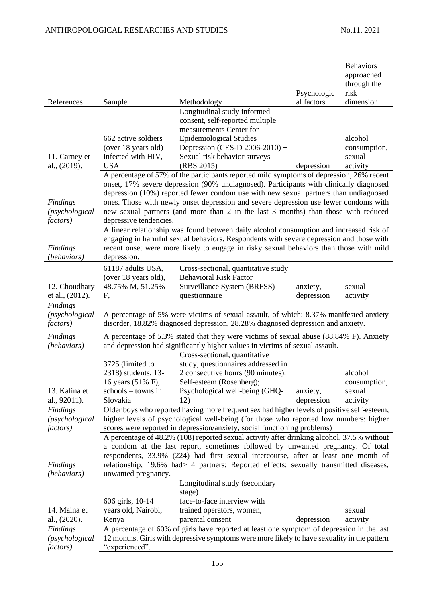|                                  |                        |                                                                                                                                                                                          |             | <b>Behaviors</b> |
|----------------------------------|------------------------|------------------------------------------------------------------------------------------------------------------------------------------------------------------------------------------|-------------|------------------|
|                                  |                        |                                                                                                                                                                                          |             | approached       |
|                                  |                        |                                                                                                                                                                                          |             | through the      |
|                                  |                        |                                                                                                                                                                                          | Psychologic | risk             |
| References                       | Sample                 | Methodology                                                                                                                                                                              | al factors  | dimension        |
|                                  |                        | Longitudinal study informed                                                                                                                                                              |             |                  |
|                                  |                        | consent, self-reported multiple                                                                                                                                                          |             |                  |
|                                  |                        | measurements Center for                                                                                                                                                                  |             |                  |
|                                  | 662 active soldiers    | <b>Epidemiological Studies</b>                                                                                                                                                           |             | alcohol          |
|                                  | (over 18 years old)    | Depression (CES-D 2006-2010) +                                                                                                                                                           |             | consumption,     |
| 11. Carney et                    | infected with HIV,     | Sexual risk behavior surveys                                                                                                                                                             |             | sexual           |
| al., (2019).                     | <b>USA</b>             | (RBS 2015)                                                                                                                                                                               | depression  | activity         |
|                                  |                        | A percentage of 57% of the participants reported mild symptoms of depression, 26% recent                                                                                                 |             |                  |
|                                  |                        | onset, 17% severe depression (90% undiagnosed). Participants with clinically diagnosed                                                                                                   |             |                  |
|                                  |                        | depression (10%) reported fewer condom use with new sexual partners than undiagnosed                                                                                                     |             |                  |
| Findings                         |                        | ones. Those with newly onset depression and severe depression use fewer condoms with                                                                                                     |             |                  |
| (psychological                   |                        | new sexual partners (and more than 2 in the last 3 months) than those with reduced                                                                                                       |             |                  |
| <i>factors</i> )                 | depressive tendencies. |                                                                                                                                                                                          |             |                  |
|                                  |                        | A linear relationship was found between daily alcohol consumption and increased risk of                                                                                                  |             |                  |
|                                  |                        | engaging in harmful sexual behaviors. Respondents with severe depression and those with                                                                                                  |             |                  |
| <b>Findings</b>                  |                        | recent onset were more likely to engage in risky sexual behaviors than those with mild                                                                                                   |             |                  |
| (behaviors)                      | depression.            |                                                                                                                                                                                          |             |                  |
|                                  |                        |                                                                                                                                                                                          |             |                  |
|                                  | 61187 adults USA,      | Cross-sectional, quantitative study                                                                                                                                                      |             |                  |
|                                  | (over 18 years old),   | <b>Behavioral Risk Factor</b>                                                                                                                                                            |             |                  |
| 12. Choudhary<br>et al., (2012). | 48.75% M, 51.25%       | Surveillance System (BRFSS)                                                                                                                                                              | anxiety,    | sexual           |
|                                  | F,                     | questionnaire                                                                                                                                                                            | depression  | activity         |
|                                  |                        |                                                                                                                                                                                          |             |                  |
| Findings                         |                        |                                                                                                                                                                                          |             |                  |
| (psychological                   |                        | A percentage of 5% were victims of sexual assault, of which: 8.37% manifested anxiety                                                                                                    |             |                  |
| <i>factors</i> )                 |                        | disorder, 18.82% diagnosed depression, 28.28% diagnosed depression and anxiety.                                                                                                          |             |                  |
| Findings                         |                        | A percentage of 5.3% stated that they were victims of sexual abuse (88.84% F). Anxiety                                                                                                   |             |                  |
| (behaviors)                      |                        | and depression had significantly higher values in victims of sexual assault.                                                                                                             |             |                  |
|                                  |                        | Cross-sectional, quantitative                                                                                                                                                            |             |                  |
|                                  | 3725 (limited to       | study, questionnaires addressed in                                                                                                                                                       |             |                  |
|                                  | 2318) students, 13-    | 2 consecutive hours (90 minutes).                                                                                                                                                        |             | alcohol          |
|                                  | 16 years (51% F),      | Self-esteem (Rosenberg);                                                                                                                                                                 |             | consumption,     |
| 13. Kalina et                    | schools - towns in     | Psychological well-being (GHQ-                                                                                                                                                           | anxiety,    | sexual           |
| al., 92011).                     | Slovakia               | 12)                                                                                                                                                                                      | depression  | activity         |
| Findings                         |                        | Older boys who reported having more frequent sex had higher levels of positive self-esteem,                                                                                              |             |                  |
| (psychological                   |                        | higher levels of psychological well-being (for those who reported low numbers: higher                                                                                                    |             |                  |
| <i>factors</i> )                 |                        | scores were reported in depression/anxiety, social functioning problems)                                                                                                                 |             |                  |
|                                  |                        | A percentage of 48.2% (108) reported sexual activity after drinking alcohol, 37.5% without                                                                                               |             |                  |
|                                  |                        | a condom at the last report, sometimes followed by unwanted pregnancy. Of total                                                                                                          |             |                  |
|                                  |                        | respondents, 33.9% (224) had first sexual intercourse, after at least one month of                                                                                                       |             |                  |
| Findings                         |                        | relationship, 19.6% had> 4 partners; Reported effects: sexually transmitted diseases,                                                                                                    |             |                  |
| (behaviors)                      | unwanted pregnancy.    |                                                                                                                                                                                          |             |                  |
|                                  |                        | Longitudinal study (secondary                                                                                                                                                            |             |                  |
|                                  |                        | stage)                                                                                                                                                                                   |             |                  |
|                                  | 606 girls, 10-14       | face-to-face interview with                                                                                                                                                              |             |                  |
| 14. Maina et                     | years old, Nairobi,    | trained operators, women,                                                                                                                                                                |             | sexual           |
| al., (2020).                     | Kenya                  | parental consent                                                                                                                                                                         | depression  | activity         |
| Findings                         |                        |                                                                                                                                                                                          |             |                  |
| (psychological                   |                        | A percentage of 60% of girls have reported at least one symptom of depression in the last<br>12 months. Girls with depressive symptoms were more likely to have sexuality in the pattern |             |                  |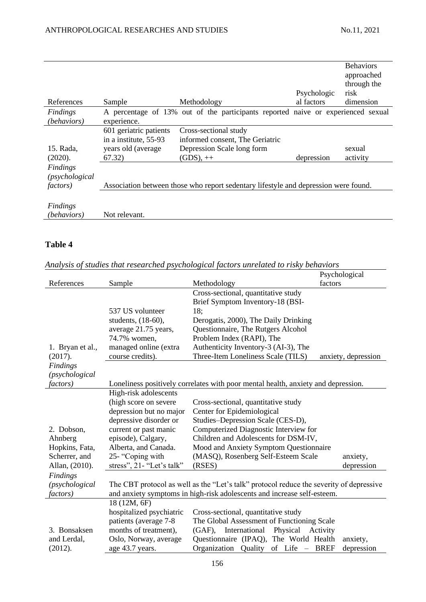|                                                              |                                                                                 |                                                                                                        | Psychologic | <b>Behaviors</b><br>approached<br>through the<br>risk |
|--------------------------------------------------------------|---------------------------------------------------------------------------------|--------------------------------------------------------------------------------------------------------|-------------|-------------------------------------------------------|
| References                                                   | Sample                                                                          | Methodology                                                                                            | al factors  | dimension                                             |
| Findings<br><i>(behaviors)</i>                               | experience.                                                                     | A percentage of 13% out of the participants reported naive or experienced sexual                       |             |                                                       |
| 15. Rada,<br>(2020).                                         | 601 geriatric patients<br>in a institute, 55-93<br>years old (average<br>67.32) | Cross-sectional study<br>informed consent, The Geriatric<br>Depression Scale long form<br>$(GDS)$ , ++ | depression  | sexual<br>activity                                    |
| Findings<br>(p <sub>sv</sub> chological)<br><i>factors</i> ) |                                                                                 | Association between those who report sedentary lifestyle and depression were found.                    |             |                                                       |
| Findings<br><i>(behaviors)</i>                               | Not relevant.                                                                   |                                                                                                        |             |                                                       |

# **Table 4**

|  |  | Analysis of studies that researched psychological factors unrelated to risky behaviors |  |  |  |
|--|--|----------------------------------------------------------------------------------------|--|--|--|
|  |  |                                                                                        |  |  |  |

|                  |                           | marjois of shahes mar researchea psycholoxical factors and claica to rishy benamers     | Psychological       |
|------------------|---------------------------|-----------------------------------------------------------------------------------------|---------------------|
| References       | Sample                    | Methodology                                                                             | factors             |
|                  |                           | Cross-sectional, quantitative study                                                     |                     |
|                  |                           | Brief Symptom Inventory-18 (BSI-                                                        |                     |
|                  | 537 US volunteer          | 18;                                                                                     |                     |
|                  | students, (18-60),        | Derogatis, 2000), The Daily Drinking                                                    |                     |
|                  | average 21.75 years,      | Questionnaire, The Rutgers Alcohol                                                      |                     |
|                  | 74.7% women,              | Problem Index (RAPI), The                                                               |                     |
| 1. Bryan et al., | managed online (extra     | Authenticity Inventory-3 (AI-3), The                                                    |                     |
| (2017).          | course credits).          | Three-Item Loneliness Scale (TILS)                                                      | anxiety, depression |
| Findings         |                           |                                                                                         |                     |
| (psychological   |                           |                                                                                         |                     |
| <i>factors</i> ) |                           | Loneliness positively correlates with poor mental health, anxiety and depression.       |                     |
|                  | High-risk adolescents     |                                                                                         |                     |
|                  | (high score on severe     | Cross-sectional, quantitative study                                                     |                     |
|                  | depression but no major   | Center for Epidemiological                                                              |                     |
|                  | depressive disorder or    | Studies-Depression Scale (CES-D),                                                       |                     |
| 2. Dobson,       | current or past manic     | Computerized Diagnostic Interview for                                                   |                     |
| Ahnberg          | episode), Calgary,        | Children and Adolescents for DSM-IV,                                                    |                     |
| Hopkins, Fata,   | Alberta, and Canada.      | Mood and Anxiety Symptom Questionnaire                                                  |                     |
| Scherrer, and    | 25- "Coping with          | (MASQ), Rosenberg Self-Esteem Scale                                                     | anxiety,            |
| Allan, (2010).   | stress", 21- "Let's talk" | (RSES)                                                                                  | depression          |
| <b>Findings</b>  |                           |                                                                                         |                     |
| (psychological   |                           | The CBT protocol as well as the "Let's talk" protocol reduce the severity of depressive |                     |
| <i>factors</i> ) |                           | and anxiety symptoms in high-risk adolescents and increase self-esteem.                 |                     |
|                  | 18 (12M, 6F)              |                                                                                         |                     |
|                  | hospitalized psychiatric  | Cross-sectional, quantitative study                                                     |                     |
|                  | patients (average 7-8)    | The Global Assessment of Functioning Scale                                              |                     |
| 3. Bonsaksen     | months of treatment),     | (GAF), International Physical Activity                                                  |                     |
| and Lerdal,      | Oslo, Norway, average     | Questionnaire (IPAQ), The World Health                                                  | anxiety,            |
| (2012).          | age 43.7 years.           | Organization Quality of Life - BREF                                                     | depression          |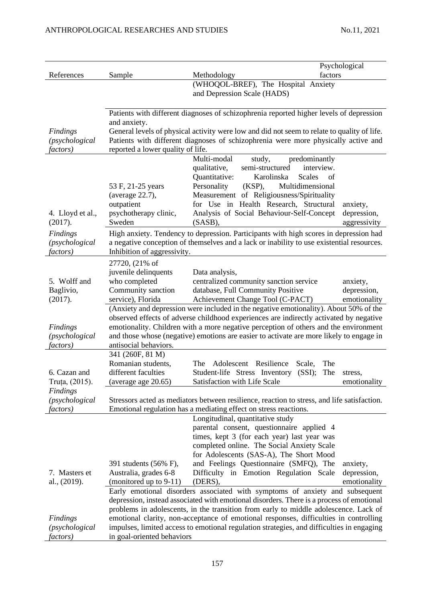| References                                                       | Sample                                                                                                                                                                                                                                                                                                                                                                                                                                                               | factors<br>Methodology                                                                                                                                                                                                                                          | Psychological                           |  |  |
|------------------------------------------------------------------|----------------------------------------------------------------------------------------------------------------------------------------------------------------------------------------------------------------------------------------------------------------------------------------------------------------------------------------------------------------------------------------------------------------------------------------------------------------------|-----------------------------------------------------------------------------------------------------------------------------------------------------------------------------------------------------------------------------------------------------------------|-----------------------------------------|--|--|
|                                                                  |                                                                                                                                                                                                                                                                                                                                                                                                                                                                      | (WHOQOL-BREF), The Hospital Anxiety<br>and Depression Scale (HADS)                                                                                                                                                                                              |                                         |  |  |
|                                                                  | Patients with different diagnoses of schizophrenia reported higher levels of depression                                                                                                                                                                                                                                                                                                                                                                              |                                                                                                                                                                                                                                                                 |                                         |  |  |
| <b>Findings</b><br>(psychological<br><i>factors</i> )            | and anxiety.<br>General levels of physical activity were low and did not seem to relate to quality of life.<br>Patients with different diagnoses of schizophrenia were more physically active and<br>reported a lower quality of life.                                                                                                                                                                                                                               |                                                                                                                                                                                                                                                                 |                                         |  |  |
|                                                                  |                                                                                                                                                                                                                                                                                                                                                                                                                                                                      | Multi-modal<br>study,<br>predominantly<br>interview.<br>qualitative,<br>semi-structured                                                                                                                                                                         |                                         |  |  |
| 4. Lloyd et al.,<br>(2017).                                      | 53 F, 21-25 years<br>(average 22.7),<br>outpatient<br>psychotherapy clinic,<br>Sweden                                                                                                                                                                                                                                                                                                                                                                                | Quantitative:<br>Karolinska<br>Scales<br>of<br>Personality<br>$(KSP)$ ,<br>Multidimensional<br>Measurement of Religiousness/Spirituality<br>for Use in Health Research, Structural<br>Analysis of Social Behaviour-Self-Concept<br>$(SASB)$ ,                   | anxiety,<br>depression,<br>aggressivity |  |  |
| <b>Findings</b><br>(psychological<br>factors)                    | High anxiety. Tendency to depression. Participants with high scores in depression had<br>a negative conception of themselves and a lack or inability to use existential resources.<br>Inhibition of aggressivity.                                                                                                                                                                                                                                                    |                                                                                                                                                                                                                                                                 |                                         |  |  |
| 5. Wolff and<br>Baglivio,                                        | 27720, (21% of<br>juvenile delinquents<br>who completed<br>Community sanction                                                                                                                                                                                                                                                                                                                                                                                        | Data analysis,<br>centralized community sanction service<br>database, Full Community Positive                                                                                                                                                                   | anxiety,<br>depression,                 |  |  |
| (2017).<br><b>Findings</b><br>(psychological<br><i>factors</i> ) | service), Florida<br>Achievement Change Tool (C-PACT)<br>emotionality<br>(Anxiety and depression were included in the negative emotionality). About 50% of the<br>observed effects of adverse childhood experiences are indirectly activated by negative<br>emotionality. Children with a more negative perception of others and the environment<br>and those whose (negative) emotions are easier to activate are more likely to engage in<br>antisocial behaviors. |                                                                                                                                                                                                                                                                 |                                         |  |  |
| 6. Cazan and<br>Truța, (2015).                                   | 341 (260F, 81 M)<br>Romanian students,<br>different faculties<br>(average age 20.65)                                                                                                                                                                                                                                                                                                                                                                                 | The<br>Adolescent Resilience<br>The<br>Scale,<br>Student-life Stress Inventory (SSI);<br>The<br>Satisfaction with Life Scale                                                                                                                                    | stress,<br>emotionality                 |  |  |
| <b>Findings</b><br>(psychological<br><i>factors</i> )            | Stressors acted as mediators between resilience, reaction to stress, and life satisfaction.<br>Emotional regulation has a mediating effect on stress reactions.                                                                                                                                                                                                                                                                                                      |                                                                                                                                                                                                                                                                 |                                         |  |  |
|                                                                  | 391 students (56% F),                                                                                                                                                                                                                                                                                                                                                                                                                                                | Longitudinal, quantitative study<br>parental consent, questionnaire applied 4<br>times, kept 3 (for each year) last year was<br>completed online. The Social Anxiety Scale<br>for Adolescents (SAS-A), The Short Mood<br>and Feelings Questionnaire (SMFQ), The | anxiety,                                |  |  |
| 7. Masters et<br>al., (2019).                                    | Australia, grades 6-8<br>(monitored up to $9-11$ )                                                                                                                                                                                                                                                                                                                                                                                                                   | Difficulty in Emotion Regulation Scale<br>(DERS),                                                                                                                                                                                                               | depression,<br>emotionality             |  |  |
|                                                                  | Early emotional disorders associated with symptoms of anxiety and subsequent<br>depression, instead associated with emotional disorders. There is a process of emotional<br>problems in adolescents, in the transition from early to middle adolescence. Lack of                                                                                                                                                                                                     |                                                                                                                                                                                                                                                                 |                                         |  |  |
| <b>Findings</b><br>(psychological<br><i>factors</i> )            | emotional clarity, non-acceptance of emotional responses, difficulties in controlling<br>impulses, limited access to emotional regulation strategies, and difficulties in engaging<br>in goal-oriented behaviors                                                                                                                                                                                                                                                     |                                                                                                                                                                                                                                                                 |                                         |  |  |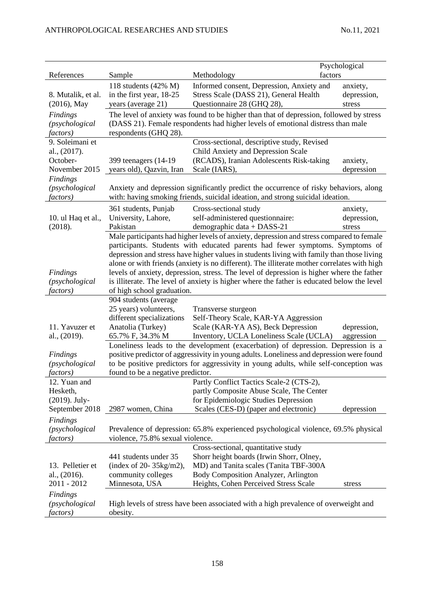|                                     |                                                                                          |                                                                                                                                                                                          | Psychological           |  |  |
|-------------------------------------|------------------------------------------------------------------------------------------|------------------------------------------------------------------------------------------------------------------------------------------------------------------------------------------|-------------------------|--|--|
| References                          | Sample                                                                                   | factors<br>Methodology                                                                                                                                                                   |                         |  |  |
| 8. Mutalik, et al.                  | 118 students $(42\% \text{ M})$<br>in the first year, 18-25                              | Informed consent, Depression, Anxiety and<br>Stress Scale (DASS 21), General Health                                                                                                      | anxiety,<br>depression, |  |  |
| $(2016)$ , May                      | years (average 21)                                                                       | Questionnaire 28 (GHQ 28),                                                                                                                                                               | stress                  |  |  |
| Findings                            | The level of anxiety was found to be higher than that of depression, followed by stress  |                                                                                                                                                                                          |                         |  |  |
| (psychological                      | (DASS 21). Female respondents had higher levels of emotional distress than male          |                                                                                                                                                                                          |                         |  |  |
| <i>factors</i> )<br>9. Soleimani et | respondents (GHQ 28).                                                                    | Cross-sectional, descriptive study, Revised                                                                                                                                              |                         |  |  |
| al., $(2017)$ .                     |                                                                                          | Child Anxiety and Depression Scale                                                                                                                                                       |                         |  |  |
| October-                            | 399 teenagers (14-19)                                                                    | (RCADS), Iranian Adolescents Risk-taking                                                                                                                                                 | anxiety,                |  |  |
| November 2015                       | years old), Qazvin, Iran                                                                 | Scale (IARS),                                                                                                                                                                            | depression              |  |  |
| <b>Findings</b>                     |                                                                                          |                                                                                                                                                                                          |                         |  |  |
| (psychological                      | Anxiety and depression significantly predict the occurrence of risky behaviors, along    |                                                                                                                                                                                          |                         |  |  |
| factors)                            | with: having smoking friends, suicidal ideation, and strong suicidal ideation.           |                                                                                                                                                                                          |                         |  |  |
|                                     | 361 students, Punjab                                                                     | Cross-sectional study                                                                                                                                                                    | anxiety,                |  |  |
| 10. ul Haq et al.,                  | University, Lahore,                                                                      | self-administered questionnaire:                                                                                                                                                         | depression,             |  |  |
| (2018).                             | Pakistan                                                                                 | demographic data + DASS-21                                                                                                                                                               | stress                  |  |  |
|                                     | Male participants had higher levels of anxiety, depression and stress compared to female |                                                                                                                                                                                          |                         |  |  |
|                                     | participants. Students with educated parents had fewer symptoms. Symptoms of             |                                                                                                                                                                                          |                         |  |  |
|                                     |                                                                                          | depression and stress have higher values in students living with family than those living<br>alone or with friends (anxiety is no different). The illiterate mother correlates with high |                         |  |  |
| Findings                            |                                                                                          | levels of anxiety, depression, stress. The level of depression is higher where the father                                                                                                |                         |  |  |
| (psychological                      |                                                                                          | is illiterate. The level of anxiety is higher where the father is educated below the level                                                                                               |                         |  |  |
| <i>factors</i> )                    | of high school graduation.                                                               |                                                                                                                                                                                          |                         |  |  |
|                                     | 904 students (average                                                                    |                                                                                                                                                                                          |                         |  |  |
|                                     | 25 years) volunteers,                                                                    | Transverse sturgeon                                                                                                                                                                      |                         |  |  |
|                                     | different specializations                                                                | Self-Theory Scale, KAR-YA Aggression                                                                                                                                                     |                         |  |  |
| 11. Yavuzer et                      | Anatolia (Turkey)                                                                        | Scale (KAR-YA AS), Beck Depression                                                                                                                                                       | depression,             |  |  |
| al., (2019).                        | 65.7% F, 34.3% M                                                                         | Inventory, UCLA Loneliness Scale (UCLA)                                                                                                                                                  | aggression              |  |  |
| <b>Findings</b>                     |                                                                                          | Loneliness leads to the development (exacerbation) of depression. Depression is a<br>positive predictor of aggressivity in young adults. Loneliness and depression were found            |                         |  |  |
| (p <sub>sv</sub> chological)        |                                                                                          | to be positive predictors for aggressivity in young adults, while self-conception was                                                                                                    |                         |  |  |
| factors)                            | found to be a negative predictor.                                                        |                                                                                                                                                                                          |                         |  |  |
| 12. Yuan and                        |                                                                                          | Partly Conflict Tactics Scale-2 (CTS-2),                                                                                                                                                 |                         |  |  |
| Hesketh,                            |                                                                                          | partly Composite Abuse Scale, The Center                                                                                                                                                 |                         |  |  |
| $(2019)$ . July-                    |                                                                                          | for Epidemiologic Studies Depression                                                                                                                                                     |                         |  |  |
| September 2018                      | 2987 women, China                                                                        | Scales (CES-D) (paper and electronic)                                                                                                                                                    | depression              |  |  |
| Findings                            |                                                                                          |                                                                                                                                                                                          |                         |  |  |
| (psychological                      | Prevalence of depression: 65.8% experienced psychological violence, 69.5% physical       |                                                                                                                                                                                          |                         |  |  |
| factors)                            | violence, 75.8% sexual violence.                                                         |                                                                                                                                                                                          |                         |  |  |
|                                     |                                                                                          | Cross-sectional, quantitative study                                                                                                                                                      |                         |  |  |
| 13. Pelletier et                    | 441 students under 35<br>(index of $20 - 35\text{kg/m2}$ ),                              | Shorr height boards (Irwin Shorr, Olney,<br>MD) and Tanita scales (Tanita TBF-300A                                                                                                       |                         |  |  |
| al., $(2016)$ .                     | community colleges                                                                       | Body Composition Analyzer, Arlington                                                                                                                                                     |                         |  |  |
| 2011 - 2012                         | Minnesota, USA                                                                           | Heights, Cohen Perceived Stress Scale                                                                                                                                                    | stress                  |  |  |
| Findings                            |                                                                                          |                                                                                                                                                                                          |                         |  |  |
| (psychological<br><i>factors</i> )  | obesity.                                                                                 | High levels of stress have been associated with a high prevalence of overweight and                                                                                                      |                         |  |  |
|                                     |                                                                                          |                                                                                                                                                                                          |                         |  |  |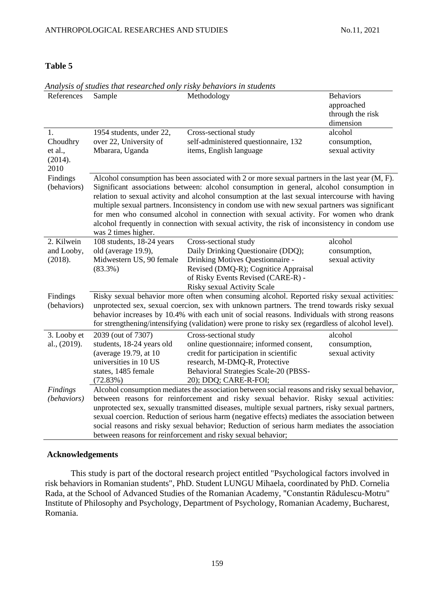### **Table 5**

| References              | Sample                                                                                                                                                                                                                                                                                                                                                                                                                                                                                                                                                                                                           | Methodology                                                                                                                                                                                         | <b>Behaviors</b><br>approached<br>through the risk<br>dimension |  |  |  |
|-------------------------|------------------------------------------------------------------------------------------------------------------------------------------------------------------------------------------------------------------------------------------------------------------------------------------------------------------------------------------------------------------------------------------------------------------------------------------------------------------------------------------------------------------------------------------------------------------------------------------------------------------|-----------------------------------------------------------------------------------------------------------------------------------------------------------------------------------------------------|-----------------------------------------------------------------|--|--|--|
| 1.                      | 1954 students, under 22,                                                                                                                                                                                                                                                                                                                                                                                                                                                                                                                                                                                         | Cross-sectional study                                                                                                                                                                               | alcohol                                                         |  |  |  |
| Choudhry                | over 22, University of                                                                                                                                                                                                                                                                                                                                                                                                                                                                                                                                                                                           | self-administered questionnaire, 132                                                                                                                                                                | consumption,                                                    |  |  |  |
| et al.,                 | Mbarara, Uganda                                                                                                                                                                                                                                                                                                                                                                                                                                                                                                                                                                                                  | items, English language                                                                                                                                                                             | sexual activity                                                 |  |  |  |
| (2014).<br>2010         |                                                                                                                                                                                                                                                                                                                                                                                                                                                                                                                                                                                                                  |                                                                                                                                                                                                     |                                                                 |  |  |  |
| Findings                |                                                                                                                                                                                                                                                                                                                                                                                                                                                                                                                                                                                                                  |                                                                                                                                                                                                     |                                                                 |  |  |  |
| (behaviors)             | Alcohol consumption has been associated with 2 or more sexual partners in the last year (M, F).<br>Significant associations between: alcohol consumption in general, alcohol consumption in<br>relation to sexual activity and alcohol consumption at the last sexual intercourse with having<br>multiple sexual partners. Inconsistency in condom use with new sexual partners was significant<br>for men who consumed alcohol in connection with sexual activity. For women who drank<br>alcohol frequently in connection with sexual activity, the risk of inconsistency in condom use<br>was 2 times higher. |                                                                                                                                                                                                     |                                                                 |  |  |  |
| 2. Kilwein              | 108 students, 18-24 years                                                                                                                                                                                                                                                                                                                                                                                                                                                                                                                                                                                        | Cross-sectional study                                                                                                                                                                               | alcohol                                                         |  |  |  |
| and Looby,              | old (average 19.9),                                                                                                                                                                                                                                                                                                                                                                                                                                                                                                                                                                                              | Daily Drinking Questionaire (DDQ);                                                                                                                                                                  | consumption,                                                    |  |  |  |
| (2018).                 | Midwestern US, 90 female                                                                                                                                                                                                                                                                                                                                                                                                                                                                                                                                                                                         | Drinking Motives Questionnaire -                                                                                                                                                                    | sexual activity                                                 |  |  |  |
|                         | $(83.3\%)$                                                                                                                                                                                                                                                                                                                                                                                                                                                                                                                                                                                                       | Revised (DMQ-R); Cognitice Appraisal                                                                                                                                                                |                                                                 |  |  |  |
|                         |                                                                                                                                                                                                                                                                                                                                                                                                                                                                                                                                                                                                                  | of Risky Events Revised (CARE-R) -                                                                                                                                                                  |                                                                 |  |  |  |
|                         |                                                                                                                                                                                                                                                                                                                                                                                                                                                                                                                                                                                                                  | Risky sexual Activity Scale                                                                                                                                                                         |                                                                 |  |  |  |
| Findings<br>(behaviors) |                                                                                                                                                                                                                                                                                                                                                                                                                                                                                                                                                                                                                  | Risky sexual behavior more often when consuming alcohol. Reported risky sexual activities:<br>unprotected sex, sexual coercion, sex with unknown partners. The trend towards risky sexual           |                                                                 |  |  |  |
|                         |                                                                                                                                                                                                                                                                                                                                                                                                                                                                                                                                                                                                                  |                                                                                                                                                                                                     |                                                                 |  |  |  |
|                         |                                                                                                                                                                                                                                                                                                                                                                                                                                                                                                                                                                                                                  | behavior increases by 10.4% with each unit of social reasons. Individuals with strong reasons<br>for strengthening/intensifying (validation) were prone to risky sex (regardless of alcohol level). |                                                                 |  |  |  |
| 3. Looby et             | 2039 (out of 7307)                                                                                                                                                                                                                                                                                                                                                                                                                                                                                                                                                                                               | Cross-sectional study                                                                                                                                                                               | alcohol                                                         |  |  |  |
| al., (2019).            | students, 18-24 years old                                                                                                                                                                                                                                                                                                                                                                                                                                                                                                                                                                                        | online questionnaire; informed consent,                                                                                                                                                             | consumption,                                                    |  |  |  |
|                         | (average 19.79, at 10)                                                                                                                                                                                                                                                                                                                                                                                                                                                                                                                                                                                           | credit for participation in scientific                                                                                                                                                              | sexual activity                                                 |  |  |  |
|                         | universities in 10 US                                                                                                                                                                                                                                                                                                                                                                                                                                                                                                                                                                                            | research, M-DMQ-R, Protective                                                                                                                                                                       |                                                                 |  |  |  |
|                         | states, 1485 female                                                                                                                                                                                                                                                                                                                                                                                                                                                                                                                                                                                              | Behavioral Strategies Scale-20 (PBSS-                                                                                                                                                               |                                                                 |  |  |  |
| <b>Findings</b>         | (72.83%)                                                                                                                                                                                                                                                                                                                                                                                                                                                                                                                                                                                                         | 20); DDQ; CARE-R-FOI;                                                                                                                                                                               |                                                                 |  |  |  |
| (behaviors)             | Alcohol consumption mediates the association between social reasons and risky sexual behavior,<br>between reasons for reinforcement and risky sexual behavior. Risky sexual activities:                                                                                                                                                                                                                                                                                                                                                                                                                          |                                                                                                                                                                                                     |                                                                 |  |  |  |
|                         | unprotected sex, sexually transmitted diseases, multiple sexual partners, risky sexual partners,                                                                                                                                                                                                                                                                                                                                                                                                                                                                                                                 |                                                                                                                                                                                                     |                                                                 |  |  |  |
|                         | sexual coercion. Reduction of serious harm (negative effects) mediates the association between                                                                                                                                                                                                                                                                                                                                                                                                                                                                                                                   |                                                                                                                                                                                                     |                                                                 |  |  |  |
|                         | social reasons and risky sexual behavior; Reduction of serious harm mediates the association                                                                                                                                                                                                                                                                                                                                                                                                                                                                                                                     |                                                                                                                                                                                                     |                                                                 |  |  |  |
|                         | between reasons for reinforcement and risky sexual behavior;                                                                                                                                                                                                                                                                                                                                                                                                                                                                                                                                                     |                                                                                                                                                                                                     |                                                                 |  |  |  |

# *Analysis of studies that researched only risky behaviors in students*

### **Acknowledgements**

This study is part of the doctoral research project entitled "Psychological factors involved in risk behaviors in Romanian students", PhD. Student LUNGU Mihaela, coordinated by PhD. Cornelia Rada, at the School of Advanced Studies of the Romanian Academy, "Constantin Rădulescu-Motru" Institute of Philosophy and Psychology, Department of Psychology, Romanian Academy, Bucharest, Romania.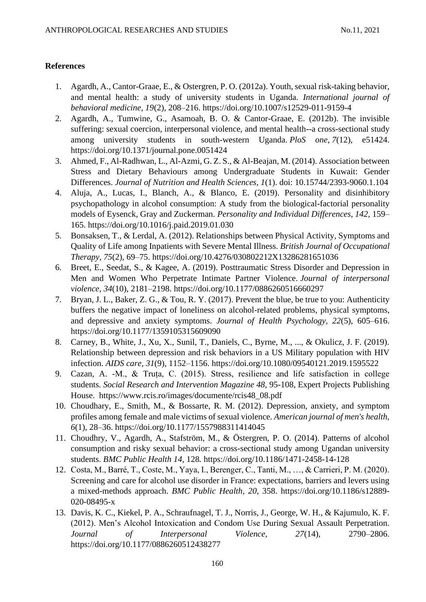## **References**

- 1. Agardh, A., Cantor-Graae, E., & Ostergren, P. O. (2012a). Youth, sexual risk-taking behavior, and mental health: a study of university students in Uganda*. International journal of behavioral medicine, 19*(2), 208–216.<https://doi.org/10.1007/s12529-011-9159-4>
- 2. Agardh, A., Tumwine, G., Asamoah, B. O. & Cantor-Graae, E. (2012b). The invisible suffering: sexual coercion, interpersonal violence, and mental health--a cross-sectional study among university students in south-western Uganda. *PloS one*, *7*(12), e51424. <https://doi.org/10.1371/journal.pone.0051424>
- 3. Ahmed, F., Al-Radhwan, L., Al-Azmi, G. Z. S., & Al-Beajan, M. (2014). Association between Stress and Dietary Behaviours among Undergraduate Students in Kuwait: Gender Differences. *Journal of Nutrition and Health Sciences, 1*(1). doi: 10.15744/2393-9060.1.104
- 4. Aluja, A., Lucas, I., Blanch, A., & Blanco, E. (2019). Personality and disinhibitory psychopathology in alcohol consumption: A study from the biological-factorial personality models of Eysenck, Gray and Zuckerman. *Personality and Individual Differences, 142,* 159– 165. [https://doi.org/10.1016/j.paid.2019.01.030](https://psycnet.apa.org/doi/10.1016/j.paid.2019.01.030)
- 5. Bonsaksen, T., & Lerdal, A. (2012). Relationships between Physical Activity, Symptoms and Quality of Life among Inpatients with Severe Mental Illness. *British Journal of Occupational Therapy, 75*(2), 69–75.<https://doi.org/10.4276/030802212X13286281651036>
- 6. Breet, E., Seedat, S., & Kagee, A. (2019). Posttraumatic Stress Disorder and Depression in Men and Women Who Perpetrate Intimate Partner Violence. *Journal of interpersonal violence*, *34*(10), 2181–2198.<https://doi.org/10.1177/0886260516660297>
- 7. Bryan, J. L., Baker, Z. G., & Tou, R. Y. (2017). Prevent the blue, be true to you: Authenticity buffers the negative impact of loneliness on alcohol-related problems, physical symptoms, and depressive and anxiety symptoms. *Journal of Health Psychology, 22*(5), 605–616. <https://doi.org/10.1177/1359105315609090>
- 8. Carney, B., White, J., Xu, X., Sunil, T., Daniels, C., Byrne, M., ..., & Okulicz, J. F. (2019). Relationship between depression and risk behaviors in a US Military population with HIV infection. *AIDS care, 31*(9), 1152–1156.<https://doi.org/10.1080/09540121.2019.1595522>
- 9. Cazan, A. -M., & Truța, C. (2015). Stress, resilience and life satisfaction in college students*. Social Research and Intervention Magazine 48*, 95-108, Expert Projects Publishing House. [https://www.rcis.ro/images/documente/rcis48\\_08.pdf](https://www.rcis.ro/images/documente/rcis48_08.pdf)
- 10. Choudhary, E., Smith, M., & Bossarte, R. M. (2012). Depression, anxiety, and symptom profiles among female and male victims of sexual violence. *American journal of men's health, 6*(1), 28–36.<https://doi.org/10.1177/1557988311414045>
- 11. Choudhry, V., Agardh, A., Stafström, M., & Östergren, P. O. (2014). Patterns of alcohol consumption and risky sexual behavior: a cross-sectional study among Ugandan university students. *BMC Public Health 14*, 128*.* <https://doi.org/10.1186/1471-2458-14-128>
- 12. Costa, M., Barré, T., Coste, M., Yaya, I., Berenger, C., Tanti, M., …, & Carrieri, P. M. (2020). Screening and care for alcohol use disorder in France: expectations, barriers and levers using a mixed-methods approach. *BMC Public Health*, *20*, 358. [https://doi.org/10.1186/s12889-](https://doi.org/10.1186/s12889-020-08495-x) [020-08495-x](https://doi.org/10.1186/s12889-020-08495-x)
- 13. Davis, K. C., Kiekel, P. A., Schraufnagel, T. J., Norris, J., George, W. H., & Kajumulo, K. F. (2012). Men's Alcohol Intoxication and Condom Use During Sexual Assault Perpetration. *Journal of Interpersonal Violence, 27*(14), 2790–2806. <https://doi.org/10.1177/0886260512438277>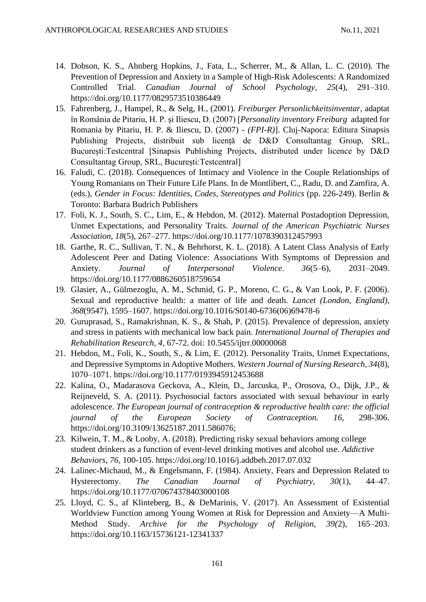- 14. Dobson, K. S., Ahnberg Hopkins, J., Fata, L., Scherrer, M., & Allan, L. C. (2010). The Prevention of Depression and Anxiety in a Sample of High-Risk Adolescents: A Randomized Controlled Trial. *Canadian Journal of School Psychology*, *25*(4), 291–310. <https://doi.org/10.1177/0829573510386449>
- 15. Fahrenberg, J., Hampel, R., & Selg, H., (2001). *Freiburger Personlichkeitsinventar,* adaptat în România de Pitariu, H. P. și Iliescu, D. (2007) [*Personality inventory Freiburg* adapted for Romania by Pitariu, H. P. & Iliescu, D. (2007) - *(FPI-R)*]. Cluj-Napoca: Editura Sinapsis Publishing Projects, distribuit sub licență de D&D Consultantag Group, SRL, București:Testcentral [Sinapsis Publishing Projects, distributed under licence by D&D Consultantag Group, SRL, București:Testcentral]
- 16. Faludi, C. (2018). Consequences of Intimacy and Violence in the Couple Relationships of Young Romanians on Their Future Life Plans. In de Montlibert, C., Radu, D. and Zamfira, A. (eds.), *Gender in Focus: Identities, Codes, Stereotypes and Politics* (pp. 226-249). Berlin & Toronto: Barbara Budrich Publishers
- 17. Foli, K. J., South, S. C., Lim, E., & Hebdon, M. (2012). Maternal Postadoption Depression, Unmet Expectations, and Personality Traits. *Journal of the American Psychiatric Nurses Association, 18*(5), 267–277.<https://doi.org/10.1177/1078390312457993>
- 18. Garthe, R. C., Sullivan, T. N., & Behrhorst, K. L. (2018). A Latent Class Analysis of Early Adolescent Peer and Dating Violence: Associations With Symptoms of Depression and Anxiety. *Journal of Interpersonal Violence*. *36*(5–6), 2031–2049. <https://doi.org/10.1177/0886260518759654>
- 19. Glasier, A., Gülmezoglu, A. M., Schmid, G. P., Moreno, C. G., & Van Look, P. F. (2006). Sexual and reproductive health: a matter of life and death. *Lancet (London, England), 368*(9547), 1595–1607. [https://doi.org/10.1016/S0140-6736\(06\)69478-6](https://doi.org/10.1016/S0140-6736(06)69478-6)
- 20. Guruprasad, S., Ramakrishnan, K. S., & Shah, P. (2015). Prevalence of depression, anxiety and stress in patients with mechanical low back pain. *International Journal of Therapies and Rehabilitation Research, 4*, 67-72. doi: 10.5455/ijtrr.00000068
- 21. Hebdon, M., Foli, K., South, S., & Lim, E. (2012). Personality Traits, Unmet Expectations, and Depressive Symptoms in Adoptive Mothers. *Western Journal of Nursing Research, 34*(8), 1070–1071.<https://doi.org/10.1177/0193945912453688>
- 22. Kalina, O., Madarasova Geckova, A., Klein, D., Jarcuska, P., Orosova, O., Dijk, J.P., & Reijneveld, S. A. (2011). Psychosocial factors associated with sexual behaviour in early adolescence. *The European journal of contraception & reproductive health care: the official journal of the European Society of Contraception. 16*, 298-306. [https://doi.org/10.3109/13625187.2011.586076;](https://doi.org/10.3109/13625187.2011.586076)
- 23. Kilwein, T. M., & Looby, A. (2018). Predicting risky sexual behaviors among college student drinkers as a function of event-level drinking motives and alcohol use. *Addictive Behaviors*, *76*, 100-105.<https://doi.org/10.1016/j.addbeh.2017.07.032>
- 24. Lalinec-Michaud, M., & Engelsmann, F. (1984). Anxiety, Fears and Depression Related to Hysterectomy. *The Canadian Journal of Psychiatry, 30*(1), 44–47. <https://doi.org/10.1177/070674378403000108>
- 25. Lloyd, C. S., af Klinteberg, B., & DeMarinis, V. (2017). An Assessment of Existential Worldview Function among Young Women at Risk for Depression and Anxiety—A Multi-Method Study. *Archive for the Psychology of Religion, 39(*2), 165–203. <https://doi.org/10.1163/15736121-12341337>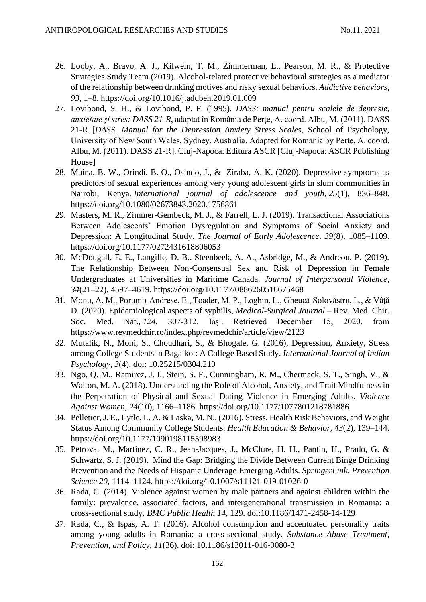- 26. Looby, A., Bravo, A. J., Kilwein, T. M., Zimmerman, L., Pearson, M. R., & Protective Strategies Study Team (2019). Alcohol-related protective behavioral strategies as a mediator of the relationship between drinking motives and risky sexual behaviors. *Addictive behaviors*, *93,* 1–8.<https://doi.org/10.1016/j.addbeh.2019.01.009>
- 27. Lovibond, S. H., & Lovibond, P. F. (1995). *DASS: manual pentru scalele de depresie, anxietate şi stres: DASS 21-R*, adaptat în România de Perțe, A. coord. Albu, M. (2011). DASS 21-R [*DASS. Manual for the Depression Anxiety Stress Scales*, School of Psychology, University of New South Wales, Sydney, Australia. Adapted for Romania by Perțe, A. coord. Albu, M. (2011). DASS 21-R]. Cluj-Napoca: Editura ASCR [Cluj-Napoca: ASCR Publishing House]
- 28. Maina, B. W., Orindi, B. O., Osindo, J., & Ziraba, A. K. (2020). Depressive symptoms as predictors of sexual experiences among very young adolescent girls in slum communities in Nairobi, Kenya. *International journal of adolescence and youth*, *25*(1), 836–848. <https://doi.org/10.1080/02673843.2020.1756861>
- 29. Masters, M. R., Zimmer-Gembeck, M. J., & Farrell, L. J. (2019). Transactional Associations Between Adolescents' Emotion Dysregulation and Symptoms of Social Anxiety and Depression: A Longitudinal Study. *The Journal of Early Adolescence, 39*(8), 1085–1109. <https://doi.org/10.1177/0272431618806053>
- 30. McDougall, E. E., Langille, D. B., Steenbeek, A. A., Asbridge, M., & Andreou, P. (2019). The Relationship Between Non-Consensual Sex and Risk of Depression in Female Undergraduates at Universities in Maritime Canada. *Journal of Interpersonal Violence*, *34*(21–22), 4597–4619.<https://doi.org/10.1177/0886260516675468>
- 31. Monu, A. M., Porumb-Andrese, E., Toader, M. P., Loghin, L., Gheucă-Solovăstru, L., & Vâță D. (2020). Epidemiological aspects of syphilis, *Medical-Surgical Journal* – Rev. Med. Chir. Soc. Med. Nat., *124*, 307-312. Iași. Retrieved December 15, 2020, from <https://www.revmedchir.ro/index.php/revmedchir/article/view/2123>
- 32. Mutalik, N., Moni, S., Choudhari, S., & Bhogale, G. (2016), Depression, Anxiety, Stress among College Students in Bagalkot: A College Based Study. *International Journal of Indian Psychology, 3*(4). doi: 10.25215/0304.210
- 33. Ngo, Q. M., Ramirez, J. I., Stein, S. F., Cunningham, R. M., Chermack, S. T., Singh, V., & Walton, M. A. (2018). Understanding the Role of Alcohol, Anxiety, and Trait Mindfulness in the Perpetration of Physical and Sexual Dating Violence in Emerging Adults. *Violence Against Women, 24*(10), 1166–1186.<https://doi.org/10.1177/1077801218781886>
- 34. Pelletier, J. E., Lytle, L. A. & Laska, M. N., (2016). Stress, Health Risk Behaviors, and Weight Status Among Community College Students. *Health Education & Behavior, 43*(2), 139–144. <https://doi.org/10.1177/1090198115598983>
- 35. Petrova, M., Martinez, C. R., Jean-Jacques, J., McClure, H. H., Pantin, H., Prado, G. & Schwartz, S. J. (2019). Mind the Gap: Bridging the Divide Between Current Binge Drinking Prevention and the Needs of Hispanic Underage Emerging Adults. *SpringerLink, Prevention Science 20*, 1114–1124.<https://doi.org/10.1007/s11121-019-01026-0>
- 36. Rada, C. (2014). Violence against women by male partners and against children within the family: prevalence, associated factors, and intergenerational transmission in Romania: a cross-sectional study. *BMC Public Health 14*, 129. doi:10.1186/1471-2458-14-129
- 37. Rada, C., & Ispas, A. T. (2016). Alcohol consumption and accentuated personality traits among young adults in Romania: a cross-sectional study. *Substance Abuse Treatment, Prevention, and Policy, 11*(36). doi: 10.1186/s13011-016-0080-3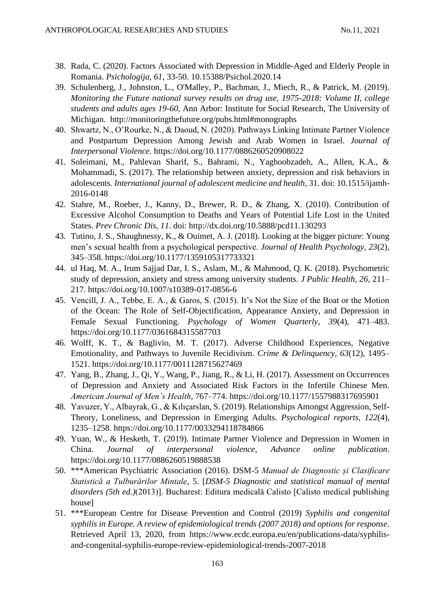- 38. Rada, C. (2020). Factors Associated with Depression in Middle-Aged and Elderly People in Romania. *Psichologija, 61*, 33-50. 10.15388/Psichol.2020.14
- 39. Schulenberg, J., Johnston, L., O'Malley, P., Bachman, J., Miech, R., & Patrick, M. (2019). *Monitoring the Future national survey results on drug use, 1975-2018: Volume II, college students and adults ages 19-60*, Ann Arbor: Institute for Social Research, The University of Michigan. <http://monitoringthefuture.org/pubs.html#monographs>
- 40. Shwartz, N., O'Rourke, N., & Daoud, N. (2020). Pathways Linking Intimate Partner Violence and Postpartum Depression Among Jewish and Arab Women in Israel. *Journal of Interpersonal Violence*.<https://doi.org/10.1177/0886260520908022>
- 41. Soleimani, M., Pahlevan Sharif, S., Bahrami, N., Yaghoobzadeh, A., Allen, K.A., & Mohammadi, S. (2017). The relationship between anxiety, depression and risk behaviors in adolescents*. International journal of adolescent medicine and health*, 31. doi: 10.1515/ijamh-2016-0148
- 42. Stahre, M., Roeber, J., Kanny, D., Brewer, R. D., & Zhang, X. (2010). Contribution of Excessive Alcohol Consumption to Deaths and Years of Potential Life Lost in the United States. *Prev Chronic Dis, 11*. doi:<http://dx.doi.org/10.5888/pcd11.130293>
- 43. Tutino, J. S., Shaughnessy, K., & Ouimet, A. J. (2018). Looking at the bigger picture: Young men's sexual health from a psychological perspective. *Journal of Health Psychology, 23*(2), 345–358.<https://doi.org/10.1177/1359105317733321>
- 44. ul Haq, M. A., Irum Sajjad Dar, I. S., Aslam, M., & Mahmood, Q. K. (2018). Psychometric study of depression, anxiety and stress among university students. *J Public Health, 26*, 211– 217.<https://doi.org/10.1007/s10389-017-0856-6>
- 45. Vencill, J. A., Tebbe, E. A., & Garos, S. (2015). It's Not the Size of the Boat or the Motion of the Ocean: The Role of Self-Objectification, Appearance Anxiety, and Depression in Female Sexual Functioning. *Psychology of Women Quarterly*, *39*(4), 471–483. <https://doi.org/10.1177/0361684315587703>
- 46. Wolff, K. T., & Baglivio, M. T. (2017). Adverse Childhood Experiences, Negative Emotionality, and Pathways to Juvenile Recidivism*. Crime & Delinquency, 63*(12), 1495– 1521.<https://doi.org/10.1177/0011128715627469>
- 47. Yang, B., Zhang, J., Qi, Y., Wang, P., Jiang, R., & Li, H. (2017). Assessment on Occurrences of Depression and Anxiety and Associated Risk Factors in the Infertile Chinese Men. *American Journal of Men's Health*, 767–774.<https://doi.org/10.1177/1557988317695901>
- 48. Yavuzer, Y., Albayrak, G., & Kılıçarslan, S. (2019). Relationships Amongst Aggression, Self-Theory, Loneliness, and Depression in Emerging Adults. *Psychological reports*, *122*(4), 1235–1258.<https://doi.org/10.1177/0033294118784866>
- 49. Yuan, W., & Hesketh, T. (2019). Intimate Partner Violence and Depression in Women in China. *Journal of interpersonal violence*, *Advance online publication*. <https://doi.org/10.1177/0886260519888538>
- 50. \*\*\*American Psychiatric Association (2016). DSM-5 *Manual de Diagnostic și Clasificare Statistică a Tulburărilor Mintale*, 5. [*DSM-5 Diagnostic and statistical manual of mental disorders (5th ed.)*(2013)]. Bucharest: Editura medicală Calisto [Calisto medical publishing house]
- 51. \*\*\*European Centre for Disease Prevention and Control (2019) *Syphilis and congenital syphilis in Europe. A review of epidemiological trends (2007 2018) and options for response*. Retrieved April 13, 2020, from [https://www.ecdc.europa.eu/en/publications-data/syphilis](https://www.ecdc.europa.eu/en/publications-data/syphilis-and-congenital-syphilis-europe-review-epidemiological-trends-2007-2018)[and-congenital-syphilis-europe-review-epidemiological-trends-2007-2018](https://www.ecdc.europa.eu/en/publications-data/syphilis-and-congenital-syphilis-europe-review-epidemiological-trends-2007-2018)